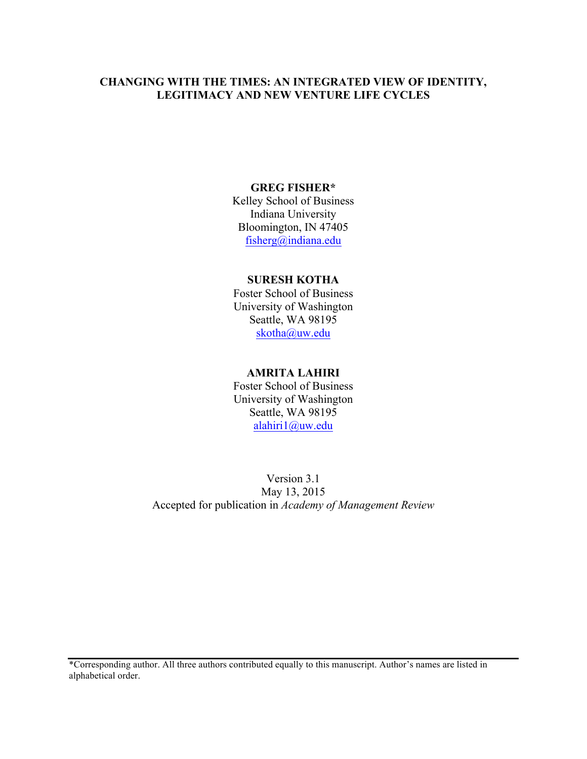## **CHANGING WITH THE TIMES: AN INTEGRATED VIEW OF IDENTITY, LEGITIMACY AND NEW VENTURE LIFE CYCLES**

## **GREG FISHER\***

Kelley School of Business Indiana University Bloomington, IN 47405 fisherg@indiana.edu

## **SURESH KOTHA**

Foster School of Business University of Washington Seattle, WA 98195 skotha@uw.edu

## **AMRITA LAHIRI**

Foster School of Business University of Washington Seattle, WA 98195 alahiri1@uw.edu

Version 3.1 May 13, 2015 Accepted for publication in *Academy of Management Review*

\*Corresponding author. All three authors contributed equally to this manuscript. Author's names are listed in alphabetical order.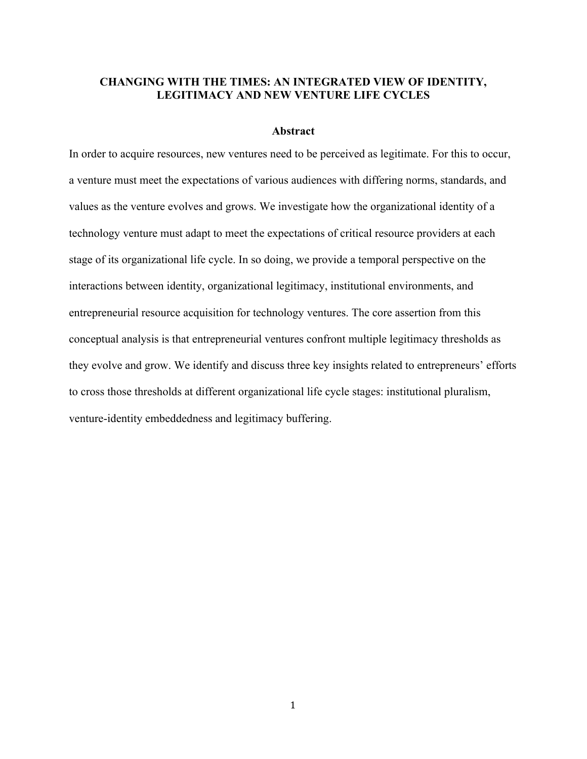## **CHANGING WITH THE TIMES: AN INTEGRATED VIEW OF IDENTITY, LEGITIMACY AND NEW VENTURE LIFE CYCLES**

#### **Abstract**

In order to acquire resources, new ventures need to be perceived as legitimate. For this to occur, a venture must meet the expectations of various audiences with differing norms, standards, and values as the venture evolves and grows. We investigate how the organizational identity of a technology venture must adapt to meet the expectations of critical resource providers at each stage of its organizational life cycle. In so doing, we provide a temporal perspective on the interactions between identity, organizational legitimacy, institutional environments, and entrepreneurial resource acquisition for technology ventures. The core assertion from this conceptual analysis is that entrepreneurial ventures confront multiple legitimacy thresholds as they evolve and grow. We identify and discuss three key insights related to entrepreneurs' efforts to cross those thresholds at different organizational life cycle stages: institutional pluralism, venture-identity embeddedness and legitimacy buffering.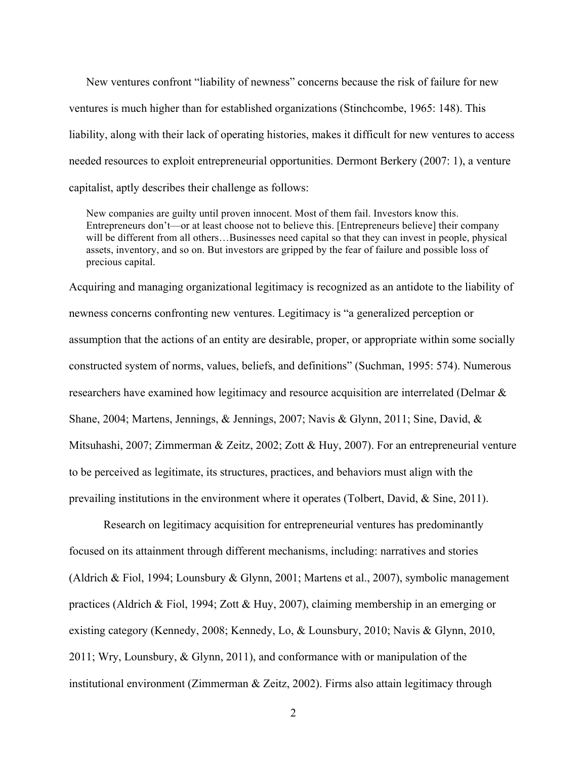New ventures confront "liability of newness" concerns because the risk of failure for new ventures is much higher than for established organizations (Stinchcombe, 1965: 148). This liability, along with their lack of operating histories, makes it difficult for new ventures to access needed resources to exploit entrepreneurial opportunities. Dermont Berkery (2007: 1), a venture capitalist, aptly describes their challenge as follows:

New companies are guilty until proven innocent. Most of them fail. Investors know this. Entrepreneurs don't—or at least choose not to believe this. [Entrepreneurs believe] their company will be different from all others...Businesses need capital so that they can invest in people, physical assets, inventory, and so on. But investors are gripped by the fear of failure and possible loss of precious capital.

Acquiring and managing organizational legitimacy is recognized as an antidote to the liability of newness concerns confronting new ventures. Legitimacy is "a generalized perception or assumption that the actions of an entity are desirable, proper, or appropriate within some socially constructed system of norms, values, beliefs, and definitions" (Suchman, 1995: 574). Numerous researchers have examined how legitimacy and resource acquisition are interrelated (Delmar & Shane, 2004; Martens, Jennings, & Jennings, 2007; Navis & Glynn, 2011; Sine, David, & Mitsuhashi, 2007; Zimmerman & Zeitz, 2002; Zott & Huy, 2007). For an entrepreneurial venture to be perceived as legitimate, its structures, practices, and behaviors must align with the prevailing institutions in the environment where it operates (Tolbert, David, & Sine, 2011).

Research on legitimacy acquisition for entrepreneurial ventures has predominantly focused on its attainment through different mechanisms, including: narratives and stories (Aldrich & Fiol, 1994; Lounsbury & Glynn, 2001; Martens et al., 2007), symbolic management practices (Aldrich & Fiol, 1994; Zott & Huy, 2007), claiming membership in an emerging or existing category (Kennedy, 2008; Kennedy, Lo, & Lounsbury, 2010; Navis & Glynn, 2010, 2011; Wry, Lounsbury, & Glynn, 2011), and conformance with or manipulation of the institutional environment (Zimmerman & Zeitz, 2002). Firms also attain legitimacy through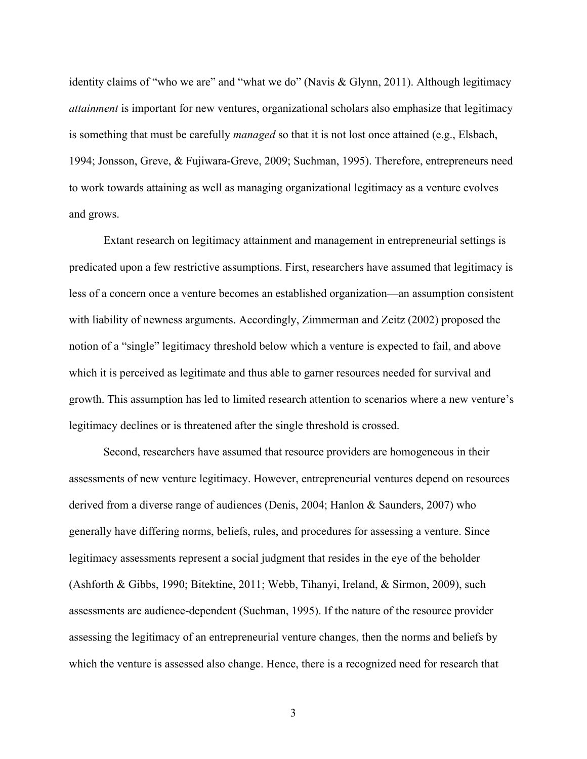identity claims of "who we are" and "what we do" (Navis & Glynn, 2011). Although legitimacy *attainment* is important for new ventures, organizational scholars also emphasize that legitimacy is something that must be carefully *managed* so that it is not lost once attained (e.g., Elsbach, 1994; Jonsson, Greve, & Fujiwara-Greve, 2009; Suchman, 1995). Therefore, entrepreneurs need to work towards attaining as well as managing organizational legitimacy as a venture evolves and grows.

Extant research on legitimacy attainment and management in entrepreneurial settings is predicated upon a few restrictive assumptions. First, researchers have assumed that legitimacy is less of a concern once a venture becomes an established organization—an assumption consistent with liability of newness arguments. Accordingly, Zimmerman and Zeitz (2002) proposed the notion of a "single" legitimacy threshold below which a venture is expected to fail, and above which it is perceived as legitimate and thus able to garner resources needed for survival and growth. This assumption has led to limited research attention to scenarios where a new venture's legitimacy declines or is threatened after the single threshold is crossed.

Second, researchers have assumed that resource providers are homogeneous in their assessments of new venture legitimacy. However, entrepreneurial ventures depend on resources derived from a diverse range of audiences (Denis, 2004; Hanlon & Saunders, 2007) who generally have differing norms, beliefs, rules, and procedures for assessing a venture. Since legitimacy assessments represent a social judgment that resides in the eye of the beholder (Ashforth & Gibbs, 1990; Bitektine, 2011; Webb, Tihanyi, Ireland, & Sirmon, 2009), such assessments are audience-dependent (Suchman, 1995). If the nature of the resource provider assessing the legitimacy of an entrepreneurial venture changes, then the norms and beliefs by which the venture is assessed also change. Hence, there is a recognized need for research that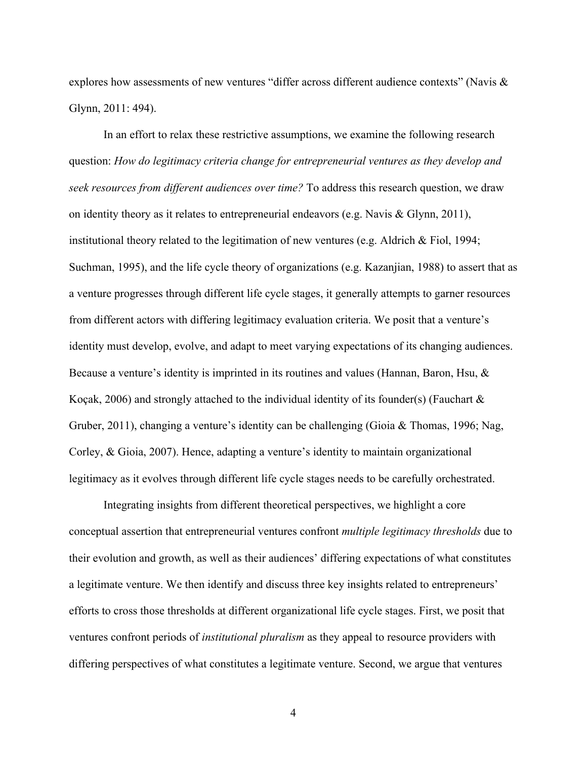explores how assessments of new ventures "differ across different audience contexts" (Navis & Glynn, 2011: 494).

In an effort to relax these restrictive assumptions, we examine the following research question: *How do legitimacy criteria change for entrepreneurial ventures as they develop and seek resources from different audiences over time?* To address this research question, we draw on identity theory as it relates to entrepreneurial endeavors (e.g. Navis & Glynn, 2011), institutional theory related to the legitimation of new ventures (e.g. Aldrich & Fiol, 1994; Suchman, 1995), and the life cycle theory of organizations (e.g. Kazanjian, 1988) to assert that as a venture progresses through different life cycle stages, it generally attempts to garner resources from different actors with differing legitimacy evaluation criteria. We posit that a venture's identity must develop, evolve, and adapt to meet varying expectations of its changing audiences. Because a venture's identity is imprinted in its routines and values (Hannan, Baron, Hsu, & Koçak, 2006) and strongly attached to the individual identity of its founder(s) (Fauchart  $\&$ Gruber, 2011), changing a venture's identity can be challenging (Gioia & Thomas, 1996; Nag, Corley, & Gioia, 2007). Hence, adapting a venture's identity to maintain organizational legitimacy as it evolves through different life cycle stages needs to be carefully orchestrated.

Integrating insights from different theoretical perspectives, we highlight a core conceptual assertion that entrepreneurial ventures confront *multiple legitimacy thresholds* due to their evolution and growth, as well as their audiences' differing expectations of what constitutes a legitimate venture. We then identify and discuss three key insights related to entrepreneurs' efforts to cross those thresholds at different organizational life cycle stages. First, we posit that ventures confront periods of *institutional pluralism* as they appeal to resource providers with differing perspectives of what constitutes a legitimate venture. Second, we argue that ventures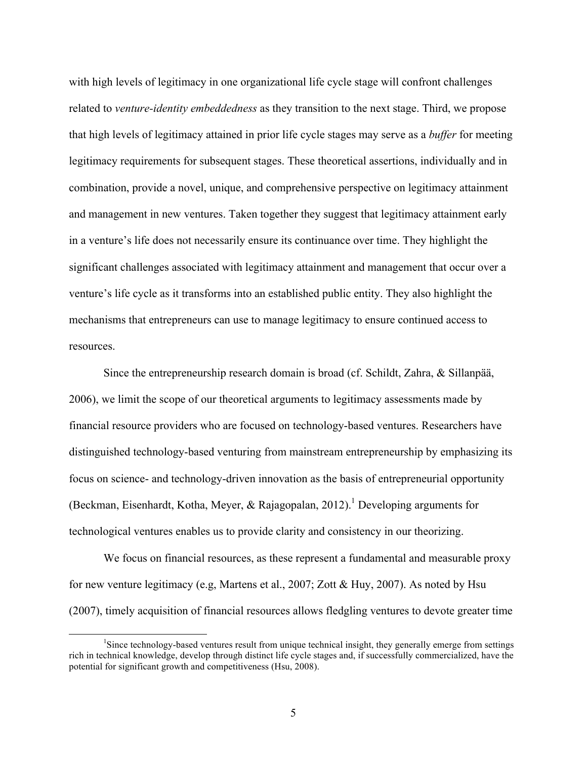with high levels of legitimacy in one organizational life cycle stage will confront challenges related to *venture-identity embeddedness* as they transition to the next stage. Third, we propose that high levels of legitimacy attained in prior life cycle stages may serve as a *buffer* for meeting legitimacy requirements for subsequent stages. These theoretical assertions, individually and in combination, provide a novel, unique, and comprehensive perspective on legitimacy attainment and management in new ventures. Taken together they suggest that legitimacy attainment early in a venture's life does not necessarily ensure its continuance over time. They highlight the significant challenges associated with legitimacy attainment and management that occur over a venture's life cycle as it transforms into an established public entity. They also highlight the mechanisms that entrepreneurs can use to manage legitimacy to ensure continued access to resources.

Since the entrepreneurship research domain is broad (cf. Schildt, Zahra, & Sillanpää, 2006), we limit the scope of our theoretical arguments to legitimacy assessments made by financial resource providers who are focused on technology-based ventures. Researchers have distinguished technology-based venturing from mainstream entrepreneurship by emphasizing its focus on science- and technology-driven innovation as the basis of entrepreneurial opportunity (Beckman, Eisenhardt, Kotha, Meyer, & Rajagopalan, 2012).<sup>1</sup> Developing arguments for technological ventures enables us to provide clarity and consistency in our theorizing.

We focus on financial resources, as these represent a fundamental and measurable proxy for new venture legitimacy (e.g, Martens et al., 2007; Zott & Huy, 2007). As noted by Hsu (2007), timely acquisition of financial resources allows fledgling ventures to devote greater time

 <sup>1</sup> Since technology-based ventures result from unique technical insight, they generally emerge from settings rich in technical knowledge, develop through distinct life cycle stages and, if successfully commercialized, have the potential for significant growth and competitiveness (Hsu, 2008).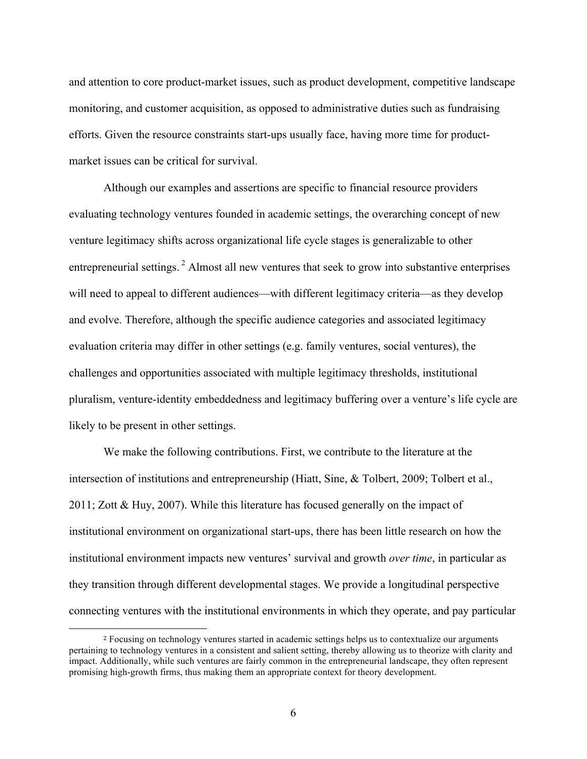and attention to core product-market issues, such as product development, competitive landscape monitoring, and customer acquisition, as opposed to administrative duties such as fundraising efforts. Given the resource constraints start-ups usually face, having more time for productmarket issues can be critical for survival.

Although our examples and assertions are specific to financial resource providers evaluating technology ventures founded in academic settings, the overarching concept of new venture legitimacy shifts across organizational life cycle stages is generalizable to other entrepreneurial settings.<sup>2</sup> Almost all new ventures that seek to grow into substantive enterprises will need to appeal to different audiences—with different legitimacy criteria—as they develop and evolve. Therefore, although the specific audience categories and associated legitimacy evaluation criteria may differ in other settings (e.g. family ventures, social ventures), the challenges and opportunities associated with multiple legitimacy thresholds, institutional pluralism, venture-identity embeddedness and legitimacy buffering over a venture's life cycle are likely to be present in other settings.

We make the following contributions. First, we contribute to the literature at the intersection of institutions and entrepreneurship (Hiatt, Sine, & Tolbert, 2009; Tolbert et al., 2011; Zott & Huy, 2007). While this literature has focused generally on the impact of institutional environment on organizational start-ups, there has been little research on how the institutional environment impacts new ventures' survival and growth *over time*, in particular as they transition through different developmental stages. We provide a longitudinal perspective connecting ventures with the institutional environments in which they operate, and pay particular

<sup>2</sup> Focusing on technology ventures started in academic settings helps us to contextualize our arguments pertaining to technology ventures in a consistent and salient setting, thereby allowing us to theorize with clarity and impact. Additionally, while such ventures are fairly common in the entrepreneurial landscape, they often represent promising high-growth firms, thus making them an appropriate context for theory development.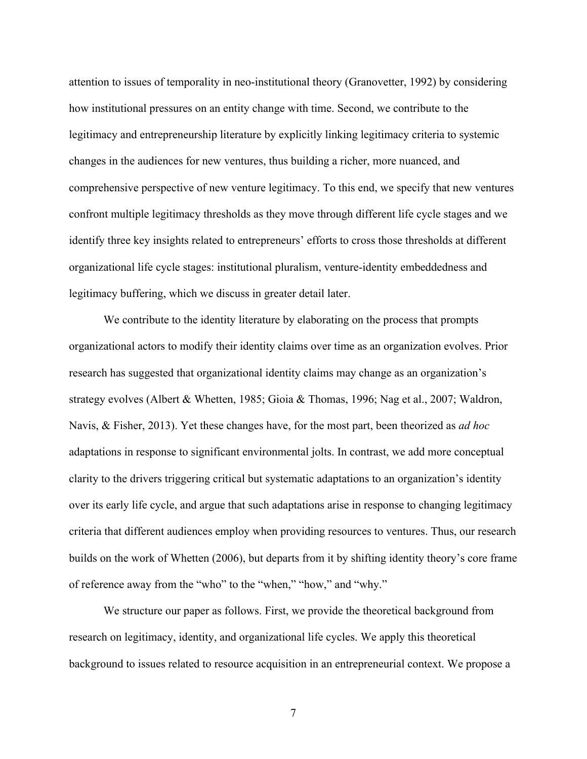attention to issues of temporality in neo-institutional theory (Granovetter, 1992) by considering how institutional pressures on an entity change with time. Second, we contribute to the legitimacy and entrepreneurship literature by explicitly linking legitimacy criteria to systemic changes in the audiences for new ventures, thus building a richer, more nuanced, and comprehensive perspective of new venture legitimacy. To this end, we specify that new ventures confront multiple legitimacy thresholds as they move through different life cycle stages and we identify three key insights related to entrepreneurs' efforts to cross those thresholds at different organizational life cycle stages: institutional pluralism, venture-identity embeddedness and legitimacy buffering, which we discuss in greater detail later.

We contribute to the identity literature by elaborating on the process that prompts organizational actors to modify their identity claims over time as an organization evolves. Prior research has suggested that organizational identity claims may change as an organization's strategy evolves (Albert & Whetten, 1985; Gioia & Thomas, 1996; Nag et al., 2007; Waldron, Navis, & Fisher, 2013). Yet these changes have, for the most part, been theorized as *ad hoc* adaptations in response to significant environmental jolts. In contrast, we add more conceptual clarity to the drivers triggering critical but systematic adaptations to an organization's identity over its early life cycle, and argue that such adaptations arise in response to changing legitimacy criteria that different audiences employ when providing resources to ventures. Thus, our research builds on the work of Whetten (2006), but departs from it by shifting identity theory's core frame of reference away from the "who" to the "when," "how," and "why."

We structure our paper as follows. First, we provide the theoretical background from research on legitimacy, identity, and organizational life cycles. We apply this theoretical background to issues related to resource acquisition in an entrepreneurial context. We propose a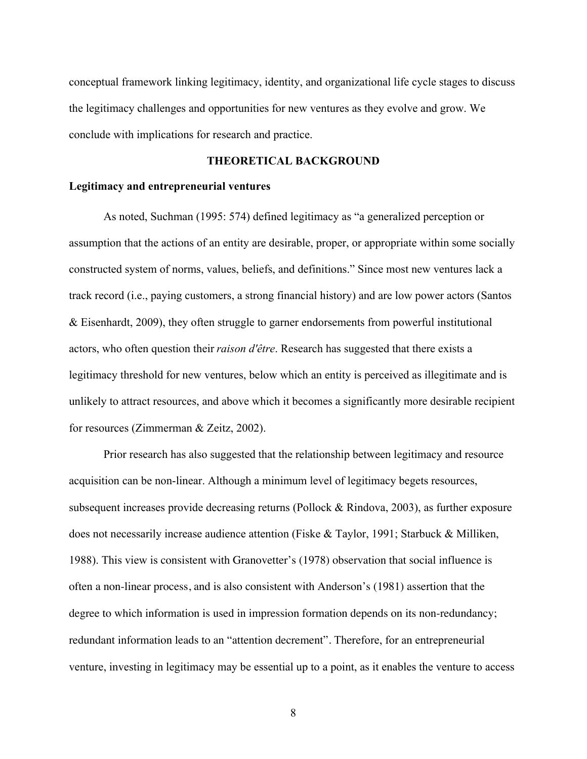conceptual framework linking legitimacy, identity, and organizational life cycle stages to discuss the legitimacy challenges and opportunities for new ventures as they evolve and grow. We conclude with implications for research and practice.

## **THEORETICAL BACKGROUND**

## **Legitimacy and entrepreneurial ventures**

As noted, Suchman (1995: 574) defined legitimacy as "a generalized perception or assumption that the actions of an entity are desirable, proper, or appropriate within some socially constructed system of norms, values, beliefs, and definitions." Since most new ventures lack a track record (i.e., paying customers, a strong financial history) and are low power actors (Santos & Eisenhardt, 2009), they often struggle to garner endorsements from powerful institutional actors, who often question their *raison d'être*. Research has suggested that there exists a legitimacy threshold for new ventures, below which an entity is perceived as illegitimate and is unlikely to attract resources, and above which it becomes a significantly more desirable recipient for resources (Zimmerman & Zeitz, 2002).

Prior research has also suggested that the relationship between legitimacy and resource acquisition can be non-linear. Although a minimum level of legitimacy begets resources, subsequent increases provide decreasing returns (Pollock & Rindova, 2003), as further exposure does not necessarily increase audience attention (Fiske & Taylor, 1991; Starbuck & Milliken, 1988). This view is consistent with Granovetter's (1978) observation that social influence is often a non-linear process, and is also consistent with Anderson's (1981) assertion that the degree to which information is used in impression formation depends on its non-redundancy; redundant information leads to an "attention decrement". Therefore, for an entrepreneurial venture, investing in legitimacy may be essential up to a point, as it enables the venture to access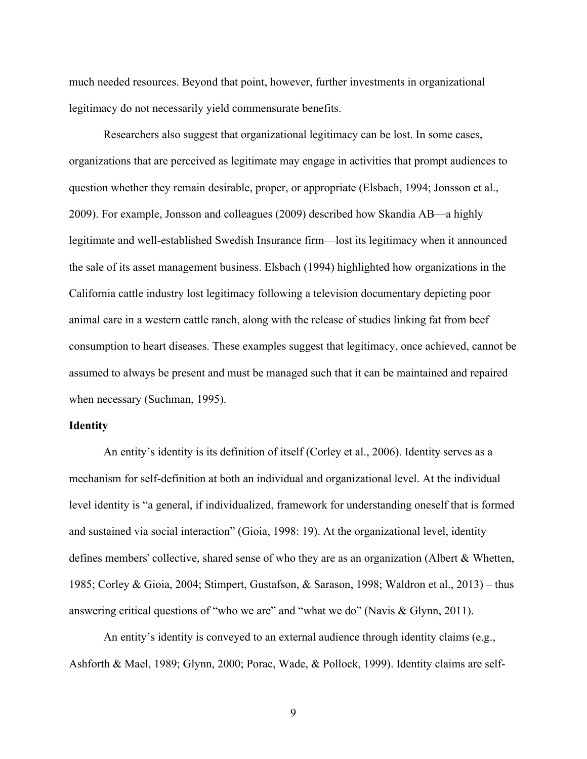much needed resources. Beyond that point, however, further investments in organizational legitimacy do not necessarily yield commensurate benefits.

Researchers also suggest that organizational legitimacy can be lost. In some cases, organizations that are perceived as legitimate may engage in activities that prompt audiences to question whether they remain desirable, proper, or appropriate (Elsbach, 1994; Jonsson et al., 2009). For example, Jonsson and colleagues (2009) described how Skandia AB—a highly legitimate and well-established Swedish Insurance firm—lost its legitimacy when it announced the sale of its asset management business. Elsbach (1994) highlighted how organizations in the California cattle industry lost legitimacy following a television documentary depicting poor animal care in a western cattle ranch, along with the release of studies linking fat from beef consumption to heart diseases. These examples suggest that legitimacy, once achieved, cannot be assumed to always be present and must be managed such that it can be maintained and repaired when necessary (Suchman, 1995).

## **Identity**

An entity's identity is its definition of itself (Corley et al., 2006). Identity serves as a mechanism for self-definition at both an individual and organizational level. At the individual level identity is "a general, if individualized, framework for understanding oneself that is formed and sustained via social interaction" (Gioia, 1998: 19). At the organizational level, identity defines members' collective, shared sense of who they are as an organization (Albert & Whetten, 1985; Corley & Gioia, 2004; Stimpert, Gustafson, & Sarason, 1998; Waldron et al., 2013) – thus answering critical questions of "who we are" and "what we do" (Navis & Glynn, 2011).

An entity's identity is conveyed to an external audience through identity claims (e.g., Ashforth & Mael, 1989; Glynn, 2000; Porac, Wade, & Pollock, 1999). Identity claims are self-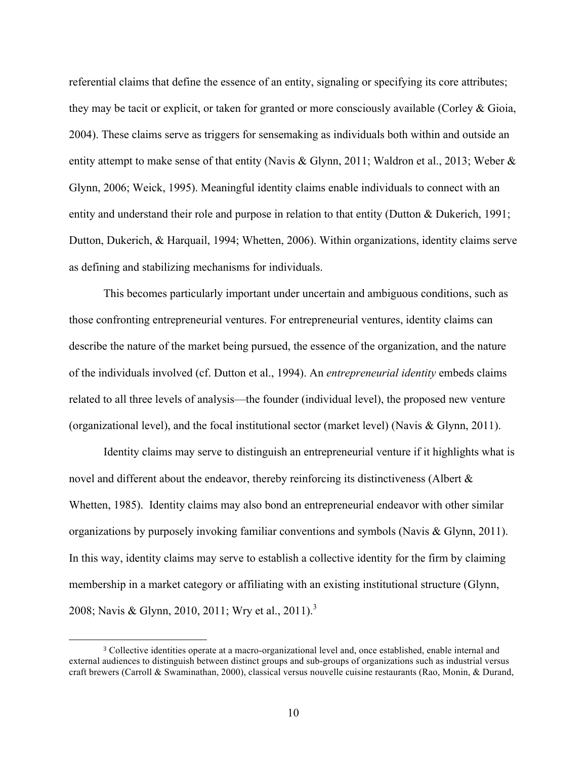referential claims that define the essence of an entity, signaling or specifying its core attributes; they may be tacit or explicit, or taken for granted or more consciously available (Corley & Gioia, 2004). These claims serve as triggers for sensemaking as individuals both within and outside an entity attempt to make sense of that entity (Navis & Glynn, 2011; Waldron et al., 2013; Weber & Glynn, 2006; Weick, 1995). Meaningful identity claims enable individuals to connect with an entity and understand their role and purpose in relation to that entity (Dutton & Dukerich, 1991; Dutton, Dukerich, & Harquail, 1994; Whetten, 2006). Within organizations, identity claims serve as defining and stabilizing mechanisms for individuals.

This becomes particularly important under uncertain and ambiguous conditions, such as those confronting entrepreneurial ventures. For entrepreneurial ventures, identity claims can describe the nature of the market being pursued, the essence of the organization, and the nature of the individuals involved (cf. Dutton et al., 1994). An *entrepreneurial identity* embeds claims related to all three levels of analysis—the founder (individual level), the proposed new venture (organizational level), and the focal institutional sector (market level) (Navis & Glynn, 2011).

Identity claims may serve to distinguish an entrepreneurial venture if it highlights what is novel and different about the endeavor, thereby reinforcing its distinctiveness (Albert & Whetten, 1985). Identity claims may also bond an entrepreneurial endeavor with other similar organizations by purposely invoking familiar conventions and symbols (Navis & Glynn, 2011). In this way, identity claims may serve to establish a collective identity for the firm by claiming membership in a market category or affiliating with an existing institutional structure (Glynn, 2008; Navis & Glynn, 2010, 2011; Wry et al., 2011).<sup>3</sup>

<sup>3</sup> Collective identities operate at a macro-organizational level and, once established, enable internal and external audiences to distinguish between distinct groups and sub-groups of organizations such as industrial versus craft brewers (Carroll & Swaminathan, 2000), classical versus nouvelle cuisine restaurants (Rao, Monin, & Durand,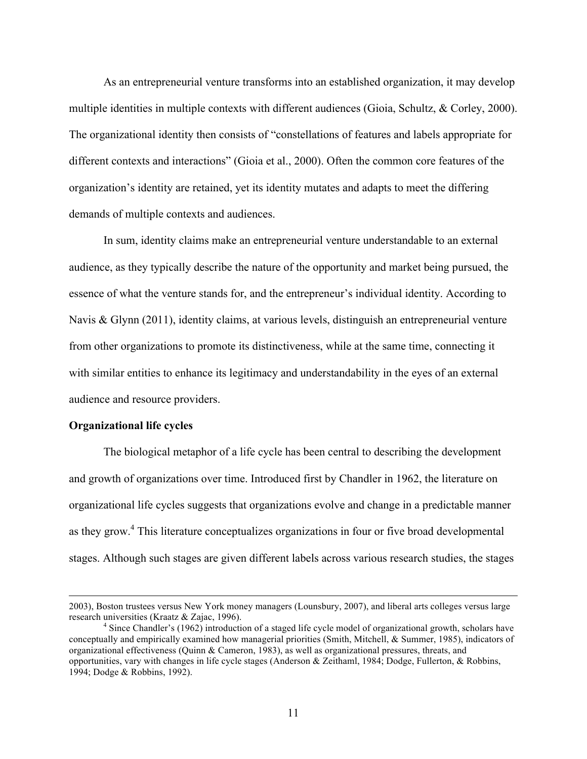As an entrepreneurial venture transforms into an established organization, it may develop multiple identities in multiple contexts with different audiences (Gioia, Schultz, & Corley, 2000). The organizational identity then consists of "constellations of features and labels appropriate for different contexts and interactions" (Gioia et al., 2000). Often the common core features of the organization's identity are retained, yet its identity mutates and adapts to meet the differing demands of multiple contexts and audiences.

In sum, identity claims make an entrepreneurial venture understandable to an external audience, as they typically describe the nature of the opportunity and market being pursued, the essence of what the venture stands for, and the entrepreneur's individual identity. According to Navis & Glynn (2011), identity claims, at various levels, distinguish an entrepreneurial venture from other organizations to promote its distinctiveness, while at the same time, connecting it with similar entities to enhance its legitimacy and understandability in the eyes of an external audience and resource providers.

#### **Organizational life cycles**

The biological metaphor of a life cycle has been central to describing the development and growth of organizations over time. Introduced first by Chandler in 1962, the literature on organizational life cycles suggests that organizations evolve and change in a predictable manner as they grow.<sup>4</sup> This literature conceptualizes organizations in four or five broad developmental stages. Although such stages are given different labels across various research studies, the stages

<sup>&</sup>lt;u> 1989 - Andrea Santa Andrea Andrea Andrea Andrea Andrea Andrea Andrea Andrea Andrea Andrea Andrea Andrea Andr</u> 2003), Boston trustees versus New York money managers (Lounsbury, 2007), and liberal arts colleges versus large research universities (Kraatz & Zajac, 1996). <sup>4</sup> Since Chandler's (1962) introduction of a staged life cycle model of organizational growth, scholars have

conceptually and empirically examined how managerial priorities (Smith, Mitchell, & Summer, 1985), indicators of organizational effectiveness (Quinn & Cameron, 1983), as well as organizational pressures, threats, and opportunities, vary with changes in life cycle stages (Anderson & Zeithaml, 1984; Dodge, Fullerton, & Robbins, 1994; Dodge & Robbins, 1992).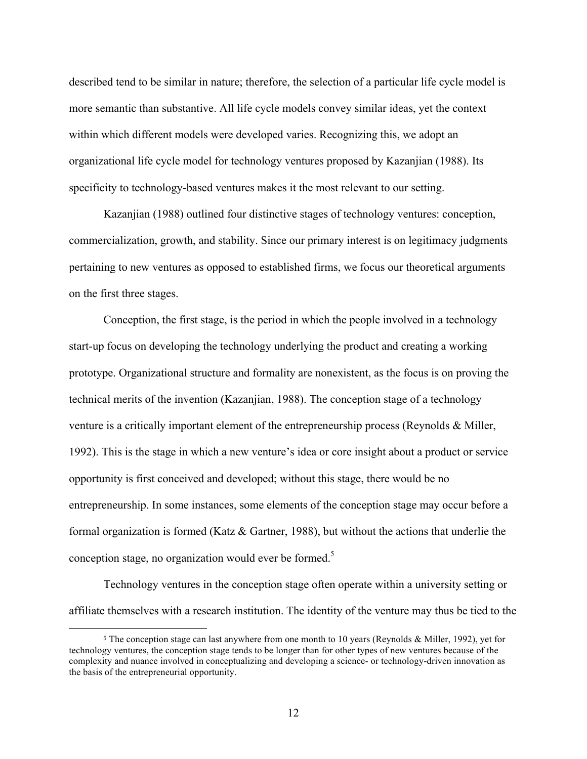described tend to be similar in nature; therefore, the selection of a particular life cycle model is more semantic than substantive. All life cycle models convey similar ideas, yet the context within which different models were developed varies. Recognizing this, we adopt an organizational life cycle model for technology ventures proposed by Kazanjian (1988). Its specificity to technology-based ventures makes it the most relevant to our setting.

Kazanjian (1988) outlined four distinctive stages of technology ventures: conception, commercialization, growth, and stability. Since our primary interest is on legitimacy judgments pertaining to new ventures as opposed to established firms, we focus our theoretical arguments on the first three stages.

Conception, the first stage, is the period in which the people involved in a technology start-up focus on developing the technology underlying the product and creating a working prototype. Organizational structure and formality are nonexistent, as the focus is on proving the technical merits of the invention (Kazanjian, 1988). The conception stage of a technology venture is a critically important element of the entrepreneurship process (Reynolds & Miller, 1992). This is the stage in which a new venture's idea or core insight about a product or service opportunity is first conceived and developed; without this stage, there would be no entrepreneurship. In some instances, some elements of the conception stage may occur before a formal organization is formed (Katz & Gartner, 1988), but without the actions that underlie the conception stage, no organization would ever be formed.<sup>5</sup>

Technology ventures in the conception stage often operate within a university setting or affiliate themselves with a research institution. The identity of the venture may thus be tied to the

<sup>5</sup> The conception stage can last anywhere from one month to 10 years (Reynolds & Miller, 1992), yet for technology ventures, the conception stage tends to be longer than for other types of new ventures because of the complexity and nuance involved in conceptualizing and developing a science- or technology-driven innovation as the basis of the entrepreneurial opportunity.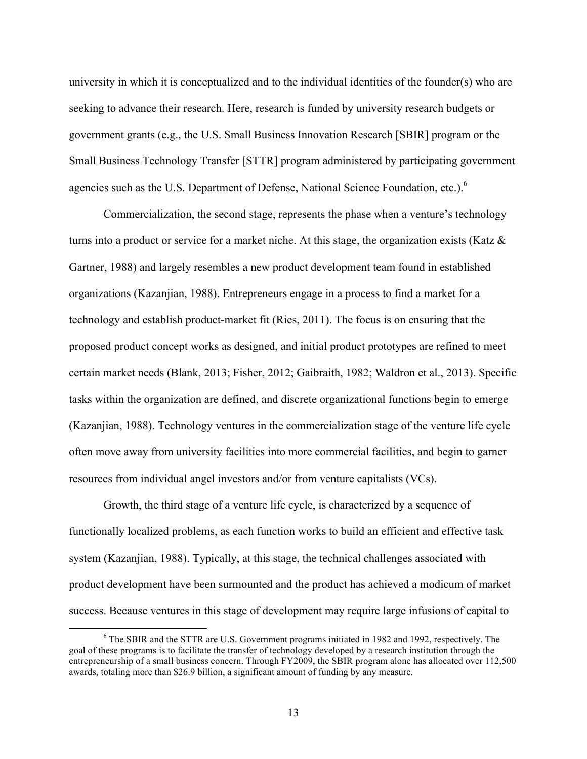university in which it is conceptualized and to the individual identities of the founder(s) who are seeking to advance their research. Here, research is funded by university research budgets or government grants (e.g., the U.S. Small Business Innovation Research [SBIR] program or the Small Business Technology Transfer [STTR] program administered by participating government agencies such as the U.S. Department of Defense, National Science Foundation, etc.).<sup>6</sup>

Commercialization, the second stage, represents the phase when a venture's technology turns into a product or service for a market niche. At this stage, the organization exists (Katz  $\&$ Gartner, 1988) and largely resembles a new product development team found in established organizations (Kazanjian, 1988). Entrepreneurs engage in a process to find a market for a technology and establish product-market fit (Ries, 2011). The focus is on ensuring that the proposed product concept works as designed, and initial product prototypes are refined to meet certain market needs (Blank, 2013; Fisher, 2012; Gaibraith, 1982; Waldron et al., 2013). Specific tasks within the organization are defined, and discrete organizational functions begin to emerge (Kazanjian, 1988). Technology ventures in the commercialization stage of the venture life cycle often move away from university facilities into more commercial facilities, and begin to garner resources from individual angel investors and/or from venture capitalists (VCs).

Growth, the third stage of a venture life cycle, is characterized by a sequence of functionally localized problems, as each function works to build an efficient and effective task system (Kazanjian, 1988). Typically, at this stage, the technical challenges associated with product development have been surmounted and the product has achieved a modicum of market success. Because ventures in this stage of development may require large infusions of capital to

<sup>&</sup>lt;sup>6</sup> The SBIR and the STTR are U.S. Government programs initiated in 1982 and 1992, respectively. The goal of these programs is to facilitate the transfer of technology developed by a research institution through the entrepreneurship of a small business concern. Through FY2009, the SBIR program alone has allocated over 112,500 awards, totaling more than \$26.9 billion, a significant amount of funding by any measure.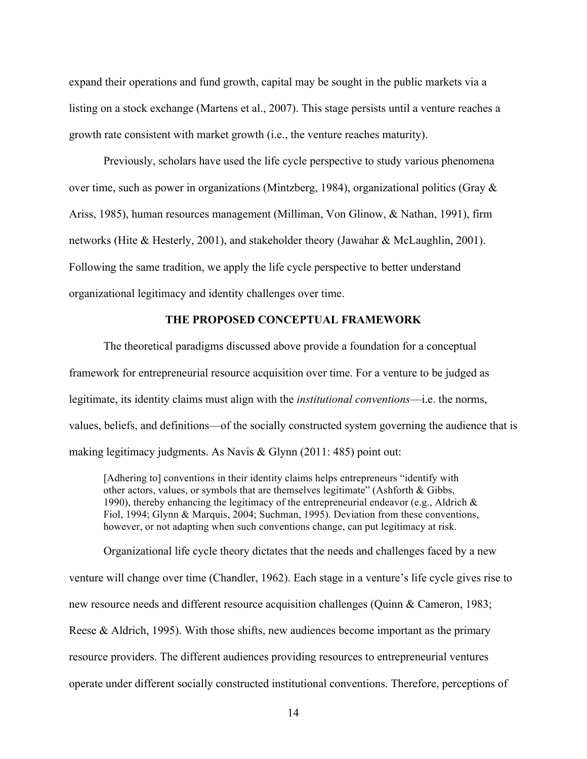expand their operations and fund growth, capital may be sought in the public markets via a listing on a stock exchange (Martens et al., 2007). This stage persists until a venture reaches a growth rate consistent with market growth (i.e., the venture reaches maturity).

Previously, scholars have used the life cycle perspective to study various phenomena over time, such as power in organizations (Mintzberg, 1984), organizational politics (Gray & Ariss, 1985), human resources management (Milliman, Von Glinow, & Nathan, 1991), firm networks (Hite & Hesterly, 2001), and stakeholder theory (Jawahar & McLaughlin, 2001). Following the same tradition, we apply the life cycle perspective to better understand organizational legitimacy and identity challenges over time.

## **THE PROPOSED CONCEPTUAL FRAMEWORK**

The theoretical paradigms discussed above provide a foundation for a conceptual framework for entrepreneurial resource acquisition over time. For a venture to be judged as legitimate, its identity claims must align with the *institutional conventions*—i.e. the norms, values, beliefs, and definitions—of the socially constructed system governing the audience that is making legitimacy judgments. As Navis & Glynn (2011: 485) point out:

[Adhering to] conventions in their identity claims helps entrepreneurs "identify with other actors, values, or symbols that are themselves legitimate" (Ashforth & Gibbs, 1990), thereby enhancing the legitimacy of the entrepreneurial endeavor (e.g., Aldrich & Fiol, 1994; Glynn & Marquis, 2004; Suchman, 1995). Deviation from these conventions, however, or not adapting when such conventions change, can put legitimacy at risk.

Organizational life cycle theory dictates that the needs and challenges faced by a new venture will change over time (Chandler, 1962). Each stage in a venture's life cycle gives rise to new resource needs and different resource acquisition challenges (Quinn & Cameron, 1983; Reese & Aldrich, 1995). With those shifts, new audiences become important as the primary resource providers. The different audiences providing resources to entrepreneurial ventures operate under different socially constructed institutional conventions. Therefore, perceptions of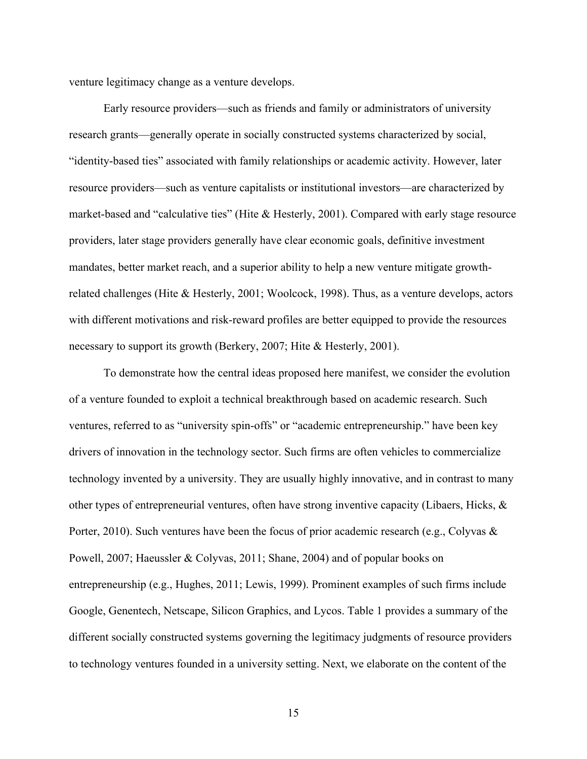venture legitimacy change as a venture develops.

Early resource providers—such as friends and family or administrators of university research grants—generally operate in socially constructed systems characterized by social, "identity-based ties" associated with family relationships or academic activity. However, later resource providers—such as venture capitalists or institutional investors—are characterized by market-based and "calculative ties" (Hite & Hesterly, 2001). Compared with early stage resource providers, later stage providers generally have clear economic goals, definitive investment mandates, better market reach, and a superior ability to help a new venture mitigate growthrelated challenges (Hite & Hesterly, 2001; Woolcock, 1998). Thus, as a venture develops, actors with different motivations and risk-reward profiles are better equipped to provide the resources necessary to support its growth (Berkery, 2007; Hite & Hesterly, 2001).

To demonstrate how the central ideas proposed here manifest, we consider the evolution of a venture founded to exploit a technical breakthrough based on academic research. Such ventures, referred to as "university spin-offs" or "academic entrepreneurship." have been key drivers of innovation in the technology sector. Such firms are often vehicles to commercialize technology invented by a university. They are usually highly innovative, and in contrast to many other types of entrepreneurial ventures, often have strong inventive capacity (Libaers, Hicks, & Porter, 2010). Such ventures have been the focus of prior academic research (e.g., Colyvas & Powell, 2007; Haeussler & Colyvas, 2011; Shane, 2004) and of popular books on entrepreneurship (e.g., Hughes, 2011; Lewis, 1999). Prominent examples of such firms include Google, Genentech, Netscape, Silicon Graphics, and Lycos. Table 1 provides a summary of the different socially constructed systems governing the legitimacy judgments of resource providers to technology ventures founded in a university setting. Next, we elaborate on the content of the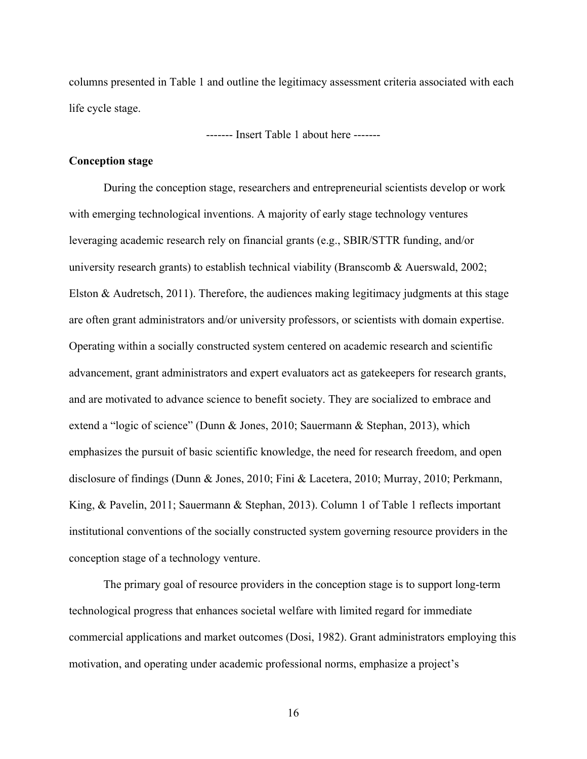columns presented in Table 1 and outline the legitimacy assessment criteria associated with each life cycle stage.

------- Insert Table 1 about here -------

## **Conception stage**

During the conception stage, researchers and entrepreneurial scientists develop or work with emerging technological inventions. A majority of early stage technology ventures leveraging academic research rely on financial grants (e.g., SBIR/STTR funding, and/or university research grants) to establish technical viability (Branscomb & Auerswald, 2002; Elston & Audretsch, 2011). Therefore, the audiences making legitimacy judgments at this stage are often grant administrators and/or university professors, or scientists with domain expertise. Operating within a socially constructed system centered on academic research and scientific advancement, grant administrators and expert evaluators act as gatekeepers for research grants, and are motivated to advance science to benefit society. They are socialized to embrace and extend a "logic of science" (Dunn & Jones, 2010; Sauermann & Stephan, 2013), which emphasizes the pursuit of basic scientific knowledge, the need for research freedom, and open disclosure of findings (Dunn & Jones, 2010; Fini & Lacetera, 2010; Murray, 2010; Perkmann, King, & Pavelin, 2011; Sauermann & Stephan, 2013). Column 1 of Table 1 reflects important institutional conventions of the socially constructed system governing resource providers in the conception stage of a technology venture.

The primary goal of resource providers in the conception stage is to support long-term technological progress that enhances societal welfare with limited regard for immediate commercial applications and market outcomes (Dosi, 1982). Grant administrators employing this motivation, and operating under academic professional norms, emphasize a project's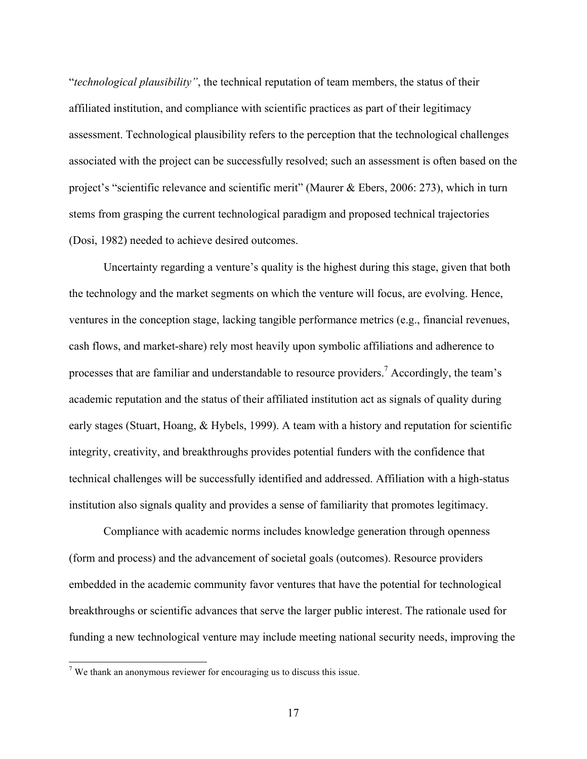"*technological plausibility"*, the technical reputation of team members, the status of their affiliated institution, and compliance with scientific practices as part of their legitimacy assessment. Technological plausibility refers to the perception that the technological challenges associated with the project can be successfully resolved; such an assessment is often based on the project's "scientific relevance and scientific merit" (Maurer & Ebers, 2006: 273), which in turn stems from grasping the current technological paradigm and proposed technical trajectories (Dosi, 1982) needed to achieve desired outcomes.

Uncertainty regarding a venture's quality is the highest during this stage, given that both the technology and the market segments on which the venture will focus, are evolving. Hence, ventures in the conception stage, lacking tangible performance metrics (e.g., financial revenues, cash flows, and market-share) rely most heavily upon symbolic affiliations and adherence to processes that are familiar and understandable to resource providers.7 Accordingly, the team's academic reputation and the status of their affiliated institution act as signals of quality during early stages (Stuart, Hoang, & Hybels, 1999). A team with a history and reputation for scientific integrity, creativity, and breakthroughs provides potential funders with the confidence that technical challenges will be successfully identified and addressed. Affiliation with a high-status institution also signals quality and provides a sense of familiarity that promotes legitimacy.

Compliance with academic norms includes knowledge generation through openness (form and process) and the advancement of societal goals (outcomes). Resource providers embedded in the academic community favor ventures that have the potential for technological breakthroughs or scientific advances that serve the larger public interest. The rationale used for funding a new technological venture may include meeting national security needs, improving the

 <sup>7</sup> We thank an anonymous reviewer for encouraging us to discuss this issue.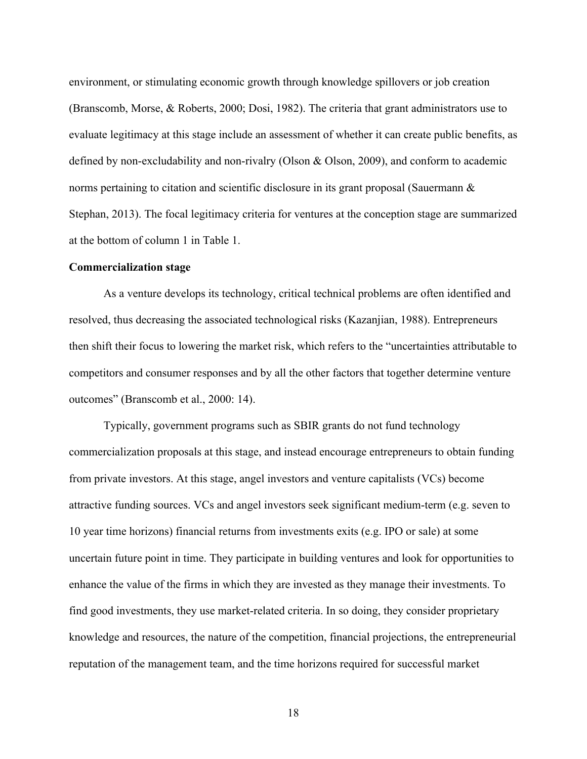environment, or stimulating economic growth through knowledge spillovers or job creation (Branscomb, Morse, & Roberts, 2000; Dosi, 1982). The criteria that grant administrators use to evaluate legitimacy at this stage include an assessment of whether it can create public benefits, as defined by non-excludability and non-rivalry (Olson & Olson, 2009), and conform to academic norms pertaining to citation and scientific disclosure in its grant proposal (Sauermann & Stephan, 2013). The focal legitimacy criteria for ventures at the conception stage are summarized at the bottom of column 1 in Table 1.

## **Commercialization stage**

As a venture develops its technology, critical technical problems are often identified and resolved, thus decreasing the associated technological risks (Kazanjian, 1988). Entrepreneurs then shift their focus to lowering the market risk, which refers to the "uncertainties attributable to competitors and consumer responses and by all the other factors that together determine venture outcomes" (Branscomb et al., 2000: 14).

Typically, government programs such as SBIR grants do not fund technology commercialization proposals at this stage, and instead encourage entrepreneurs to obtain funding from private investors. At this stage, angel investors and venture capitalists (VCs) become attractive funding sources. VCs and angel investors seek significant medium-term (e.g. seven to 10 year time horizons) financial returns from investments exits (e.g. IPO or sale) at some uncertain future point in time. They participate in building ventures and look for opportunities to enhance the value of the firms in which they are invested as they manage their investments. To find good investments, they use market-related criteria. In so doing, they consider proprietary knowledge and resources, the nature of the competition, financial projections, the entrepreneurial reputation of the management team, and the time horizons required for successful market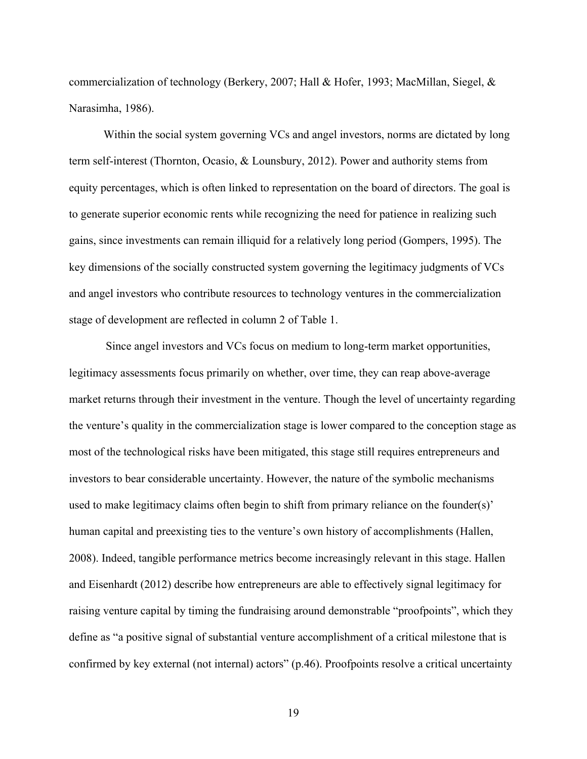commercialization of technology (Berkery, 2007; Hall & Hofer, 1993; MacMillan, Siegel, & Narasimha, 1986).

Within the social system governing VCs and angel investors, norms are dictated by long term self-interest (Thornton, Ocasio, & Lounsbury, 2012). Power and authority stems from equity percentages, which is often linked to representation on the board of directors. The goal is to generate superior economic rents while recognizing the need for patience in realizing such gains, since investments can remain illiquid for a relatively long period (Gompers, 1995). The key dimensions of the socially constructed system governing the legitimacy judgments of VCs and angel investors who contribute resources to technology ventures in the commercialization stage of development are reflected in column 2 of Table 1.

Since angel investors and VCs focus on medium to long-term market opportunities, legitimacy assessments focus primarily on whether, over time, they can reap above-average market returns through their investment in the venture. Though the level of uncertainty regarding the venture's quality in the commercialization stage is lower compared to the conception stage as most of the technological risks have been mitigated, this stage still requires entrepreneurs and investors to bear considerable uncertainty. However, the nature of the symbolic mechanisms used to make legitimacy claims often begin to shift from primary reliance on the founder(s)' human capital and preexisting ties to the venture's own history of accomplishments (Hallen, 2008). Indeed, tangible performance metrics become increasingly relevant in this stage. Hallen and Eisenhardt (2012) describe how entrepreneurs are able to effectively signal legitimacy for raising venture capital by timing the fundraising around demonstrable "proofpoints", which they define as "a positive signal of substantial venture accomplishment of a critical milestone that is confirmed by key external (not internal) actors" (p.46). Proofpoints resolve a critical uncertainty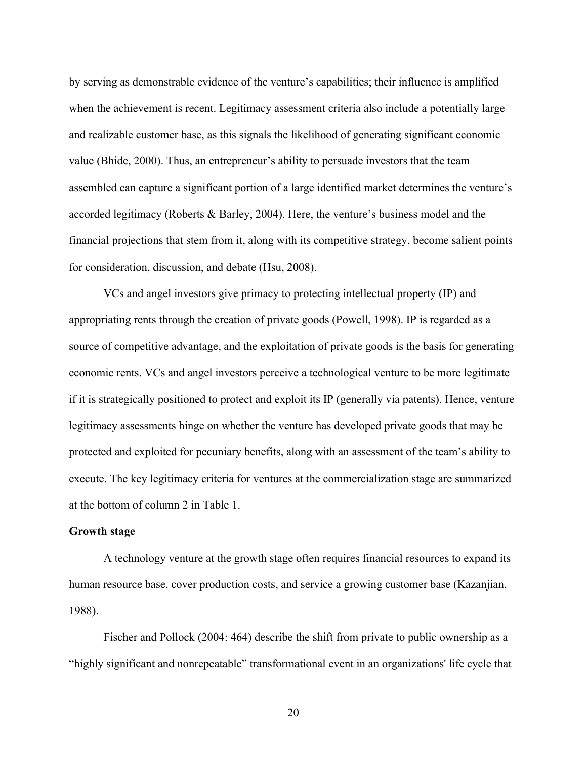by serving as demonstrable evidence of the venture's capabilities; their influence is amplified when the achievement is recent. Legitimacy assessment criteria also include a potentially large and realizable customer base, as this signals the likelihood of generating significant economic value (Bhide, 2000). Thus, an entrepreneur's ability to persuade investors that the team assembled can capture a significant portion of a large identified market determines the venture's accorded legitimacy (Roberts & Barley, 2004). Here, the venture's business model and the financial projections that stem from it, along with its competitive strategy, become salient points for consideration, discussion, and debate (Hsu, 2008).

VCs and angel investors give primacy to protecting intellectual property (IP) and appropriating rents through the creation of private goods (Powell, 1998). IP is regarded as a source of competitive advantage, and the exploitation of private goods is the basis for generating economic rents. VCs and angel investors perceive a technological venture to be more legitimate if it is strategically positioned to protect and exploit its IP (generally via patents). Hence, venture legitimacy assessments hinge on whether the venture has developed private goods that may be protected and exploited for pecuniary benefits, along with an assessment of the team's ability to execute. The key legitimacy criteria for ventures at the commercialization stage are summarized at the bottom of column 2 in Table 1.

## **Growth stage**

A technology venture at the growth stage often requires financial resources to expand its human resource base, cover production costs, and service a growing customer base (Kazanjian, 1988).

Fischer and Pollock (2004: 464) describe the shift from private to public ownership as a "highly significant and nonrepeatable" transformational event in an organizations' life cycle that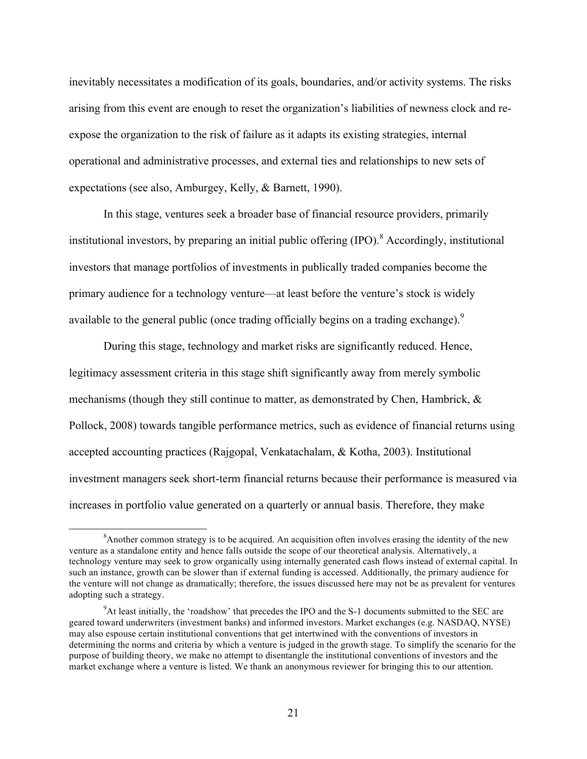inevitably necessitates a modification of its goals, boundaries, and/or activity systems. The risks arising from this event are enough to reset the organization's liabilities of newness clock and reexpose the organization to the risk of failure as it adapts its existing strategies, internal operational and administrative processes, and external ties and relationships to new sets of expectations (see also, Amburgey, Kelly, & Barnett, 1990).

In this stage, ventures seek a broader base of financial resource providers, primarily institutional investors, by preparing an initial public offering  $(IPO)$ .<sup>8</sup> Accordingly, institutional investors that manage portfolios of investments in publically traded companies become the primary audience for a technology venture—at least before the venture's stock is widely available to the general public (once trading officially begins on a trading exchange).<sup>9</sup>

During this stage, technology and market risks are significantly reduced. Hence, legitimacy assessment criteria in this stage shift significantly away from merely symbolic mechanisms (though they still continue to matter, as demonstrated by Chen, Hambrick,  $\&$ Pollock, 2008) towards tangible performance metrics, such as evidence of financial returns using accepted accounting practices (Rajgopal, Venkatachalam, & Kotha, 2003). Institutional investment managers seek short-term financial returns because their performance is measured via increases in portfolio value generated on a quarterly or annual basis. Therefore, they make

<sup>&</sup>lt;sup>8</sup> Another common strategy is to be acquired. An acquisition often involves erasing the identity of the new venture as a standalone entity and hence falls outside the scope of our theoretical analysis. Alternatively, a technology venture may seek to grow organically using internally generated cash flows instead of external capital. In such an instance, growth can be slower than if external funding is accessed. Additionally, the primary audience for the venture will not change as dramatically; therefore, the issues discussed here may not be as prevalent for ventures adopting such a strategy.

<sup>&</sup>lt;sup>9</sup>At least initially, the 'roadshow' that precedes the IPO and the S-1 documents submitted to the SEC are geared toward underwriters (investment banks) and informed investors. Market exchanges (e.g. NASDAQ, NYSE) may also espouse certain institutional conventions that get intertwined with the conventions of investors in determining the norms and criteria by which a venture is judged in the growth stage. To simplify the scenario for the purpose of building theory, we make no attempt to disentangle the institutional conventions of investors and the market exchange where a venture is listed. We thank an anonymous reviewer for bringing this to our attention.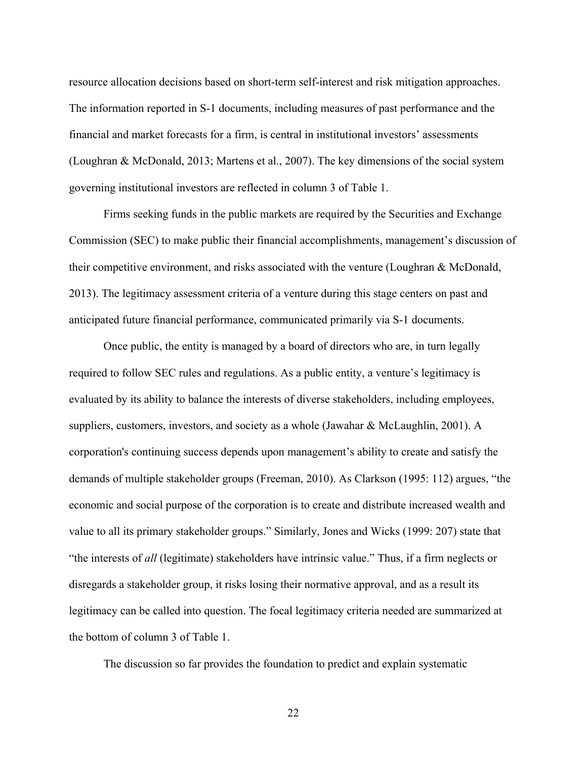resource allocation decisions based on short-term self-interest and risk mitigation approaches. The information reported in S-1 documents, including measures of past performance and the financial and market forecasts for a firm, is central in institutional investors' assessments (Loughran & McDonald, 2013; Martens et al., 2007). The key dimensions of the social system governing institutional investors are reflected in column 3 of Table 1.

Firms seeking funds in the public markets are required by the Securities and Exchange Commission (SEC) to make public their financial accomplishments, management's discussion of their competitive environment, and risks associated with the venture (Loughran & McDonald, 2013). The legitimacy assessment criteria of a venture during this stage centers on past and anticipated future financial performance, communicated primarily via S-1 documents.

Once public, the entity is managed by a board of directors who are, in turn legally required to follow SEC rules and regulations. As a public entity, a venture's legitimacy is evaluated by its ability to balance the interests of diverse stakeholders, including employees, suppliers, customers, investors, and society as a whole (Jawahar & McLaughlin, 2001). A corporation's continuing success depends upon management's ability to create and satisfy the demands of multiple stakeholder groups (Freeman, 2010). As Clarkson (1995: 112) argues, "the economic and social purpose of the corporation is to create and distribute increased wealth and value to all its primary stakeholder groups." Similarly, Jones and Wicks (1999: 207) state that "the interests of *all* (legitimate) stakeholders have intrinsic value." Thus, if a firm neglects or disregards a stakeholder group, it risks losing their normative approval, and as a result its legitimacy can be called into question. The focal legitimacy criteria needed are summarized at the bottom of column 3 of Table 1.

The discussion so far provides the foundation to predict and explain systematic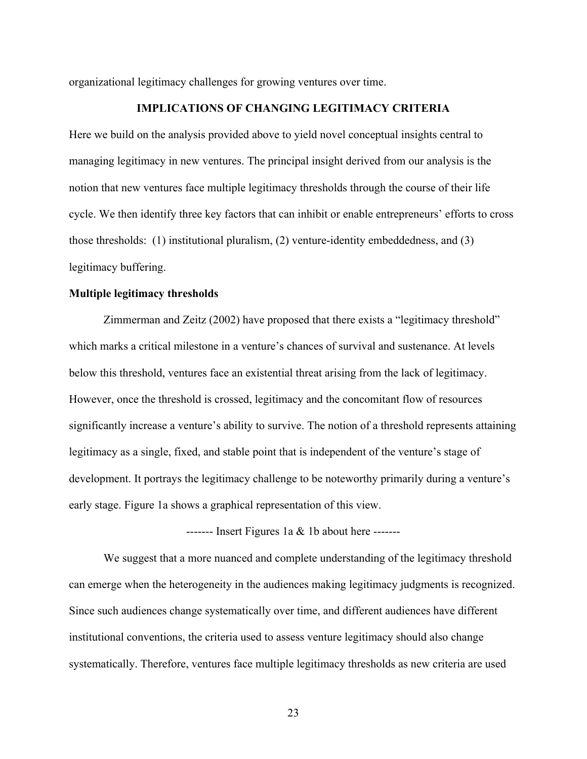organizational legitimacy challenges for growing ventures over time.

## **IMPLICATIONS OF CHANGING LEGITIMACY CRITERIA**

Here we build on the analysis provided above to yield novel conceptual insights central to managing legitimacy in new ventures. The principal insight derived from our analysis is the notion that new ventures face multiple legitimacy thresholds through the course of their life cycle. We then identify three key factors that can inhibit or enable entrepreneurs' efforts to cross those thresholds: (1) institutional pluralism, (2) venture-identity embeddedness, and (3) legitimacy buffering.

#### **Multiple legitimacy thresholds**

Zimmerman and Zeitz (2002) have proposed that there exists a "legitimacy threshold" which marks a critical milestone in a venture's chances of survival and sustenance. At levels below this threshold, ventures face an existential threat arising from the lack of legitimacy. However, once the threshold is crossed, legitimacy and the concomitant flow of resources significantly increase a venture's ability to survive. The notion of a threshold represents attaining legitimacy as a single, fixed, and stable point that is independent of the venture's stage of development. It portrays the legitimacy challenge to be noteworthy primarily during a venture's early stage. Figure 1a shows a graphical representation of this view.

------- Insert Figures 1a & 1b about here -------

We suggest that a more nuanced and complete understanding of the legitimacy threshold can emerge when the heterogeneity in the audiences making legitimacy judgments is recognized. Since such audiences change systematically over time, and different audiences have different institutional conventions, the criteria used to assess venture legitimacy should also change systematically. Therefore, ventures face multiple legitimacy thresholds as new criteria are used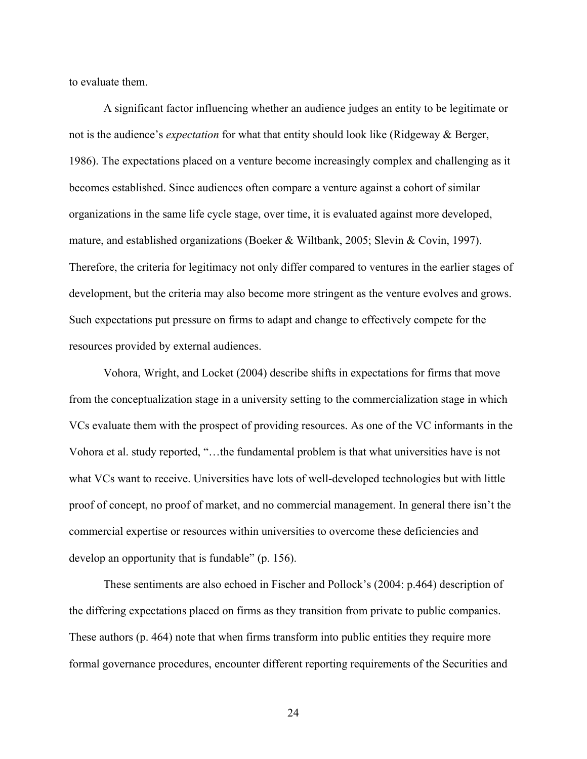to evaluate them.

A significant factor influencing whether an audience judges an entity to be legitimate or not is the audience's *expectation* for what that entity should look like (Ridgeway & Berger, 1986). The expectations placed on a venture become increasingly complex and challenging as it becomes established. Since audiences often compare a venture against a cohort of similar organizations in the same life cycle stage, over time, it is evaluated against more developed, mature, and established organizations (Boeker & Wiltbank, 2005; Slevin & Covin, 1997). Therefore, the criteria for legitimacy not only differ compared to ventures in the earlier stages of development, but the criteria may also become more stringent as the venture evolves and grows. Such expectations put pressure on firms to adapt and change to effectively compete for the resources provided by external audiences.

Vohora, Wright, and Locket (2004) describe shifts in expectations for firms that move from the conceptualization stage in a university setting to the commercialization stage in which VCs evaluate them with the prospect of providing resources. As one of the VC informants in the Vohora et al. study reported, "…the fundamental problem is that what universities have is not what VCs want to receive. Universities have lots of well-developed technologies but with little proof of concept, no proof of market, and no commercial management. In general there isn't the commercial expertise or resources within universities to overcome these deficiencies and develop an opportunity that is fundable" (p. 156).

These sentiments are also echoed in Fischer and Pollock's (2004: p.464) description of the differing expectations placed on firms as they transition from private to public companies. These authors (p. 464) note that when firms transform into public entities they require more formal governance procedures, encounter different reporting requirements of the Securities and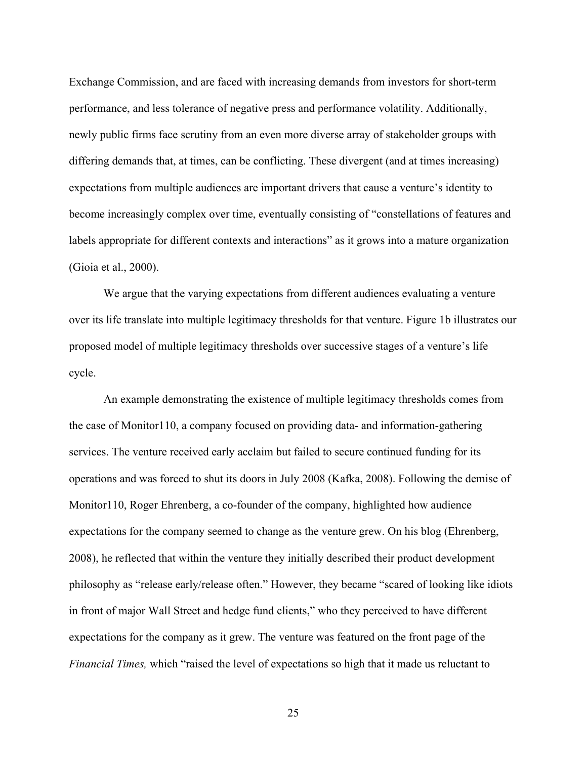Exchange Commission, and are faced with increasing demands from investors for short-term performance, and less tolerance of negative press and performance volatility. Additionally, newly public firms face scrutiny from an even more diverse array of stakeholder groups with differing demands that, at times, can be conflicting. These divergent (and at times increasing) expectations from multiple audiences are important drivers that cause a venture's identity to become increasingly complex over time, eventually consisting of "constellations of features and labels appropriate for different contexts and interactions" as it grows into a mature organization (Gioia et al., 2000).

We argue that the varying expectations from different audiences evaluating a venture over its life translate into multiple legitimacy thresholds for that venture. Figure 1b illustrates our proposed model of multiple legitimacy thresholds over successive stages of a venture's life cycle.

An example demonstrating the existence of multiple legitimacy thresholds comes from the case of Monitor110, a company focused on providing data- and information-gathering services. The venture received early acclaim but failed to secure continued funding for its operations and was forced to shut its doors in July 2008 (Kafka, 2008). Following the demise of Monitor110, Roger Ehrenberg, a co-founder of the company, highlighted how audience expectations for the company seemed to change as the venture grew. On his blog (Ehrenberg, 2008), he reflected that within the venture they initially described their product development philosophy as "release early/release often." However, they became "scared of looking like idiots in front of major Wall Street and hedge fund clients," who they perceived to have different expectations for the company as it grew. The venture was featured on the front page of the *Financial Times,* which "raised the level of expectations so high that it made us reluctant to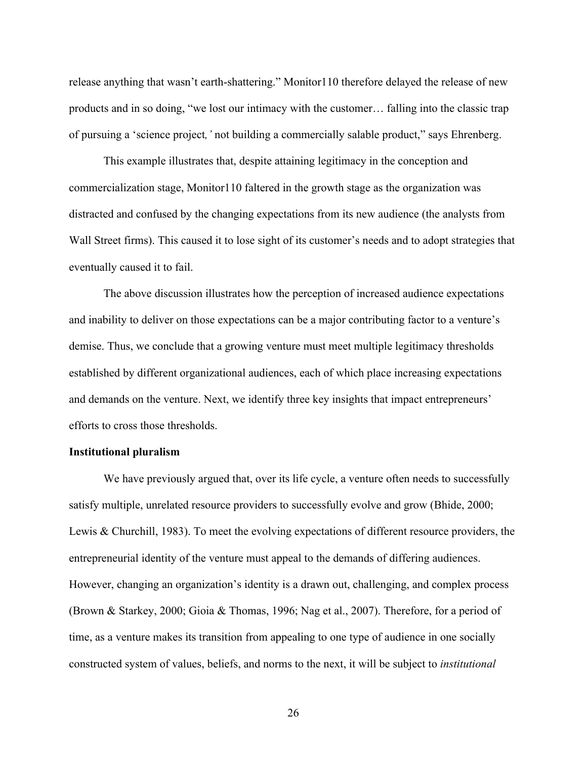release anything that wasn't earth-shattering." Monitor110 therefore delayed the release of new products and in so doing, "we lost our intimacy with the customer… falling into the classic trap of pursuing a 'science project*,'* not building a commercially salable product," says Ehrenberg.

This example illustrates that, despite attaining legitimacy in the conception and commercialization stage, Monitor110 faltered in the growth stage as the organization was distracted and confused by the changing expectations from its new audience (the analysts from Wall Street firms). This caused it to lose sight of its customer's needs and to adopt strategies that eventually caused it to fail.

The above discussion illustrates how the perception of increased audience expectations and inability to deliver on those expectations can be a major contributing factor to a venture's demise. Thus, we conclude that a growing venture must meet multiple legitimacy thresholds established by different organizational audiences, each of which place increasing expectations and demands on the venture. Next, we identify three key insights that impact entrepreneurs' efforts to cross those thresholds.

#### **Institutional pluralism**

We have previously argued that, over its life cycle, a venture often needs to successfully satisfy multiple, unrelated resource providers to successfully evolve and grow (Bhide, 2000; Lewis & Churchill, 1983). To meet the evolving expectations of different resource providers, the entrepreneurial identity of the venture must appeal to the demands of differing audiences. However, changing an organization's identity is a drawn out, challenging, and complex process (Brown & Starkey, 2000; Gioia & Thomas, 1996; Nag et al., 2007). Therefore, for a period of time, as a venture makes its transition from appealing to one type of audience in one socially constructed system of values, beliefs, and norms to the next, it will be subject to *institutional*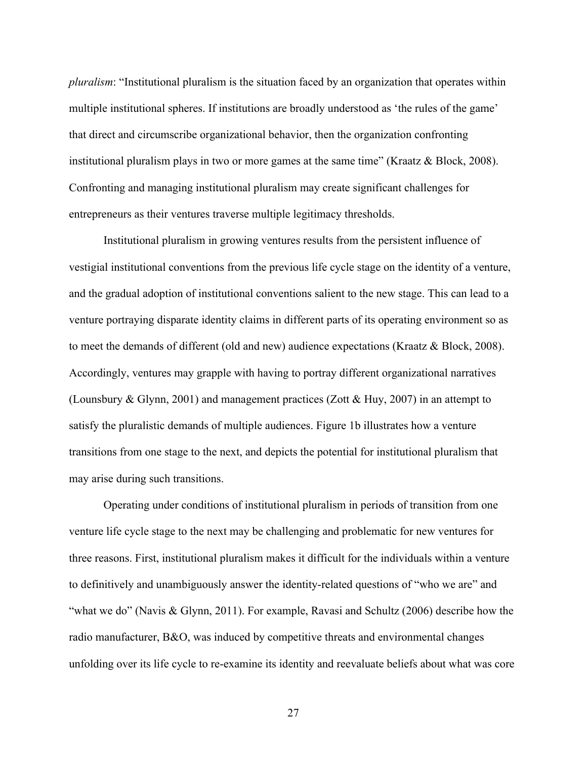*pluralism*: "Institutional pluralism is the situation faced by an organization that operates within multiple institutional spheres. If institutions are broadly understood as 'the rules of the game' that direct and circumscribe organizational behavior, then the organization confronting institutional pluralism plays in two or more games at the same time" (Kraatz & Block, 2008). Confronting and managing institutional pluralism may create significant challenges for entrepreneurs as their ventures traverse multiple legitimacy thresholds.

Institutional pluralism in growing ventures results from the persistent influence of vestigial institutional conventions from the previous life cycle stage on the identity of a venture, and the gradual adoption of institutional conventions salient to the new stage. This can lead to a venture portraying disparate identity claims in different parts of its operating environment so as to meet the demands of different (old and new) audience expectations (Kraatz & Block, 2008). Accordingly, ventures may grapple with having to portray different organizational narratives (Lounsbury & Glynn, 2001) and management practices (Zott & Huy, 2007) in an attempt to satisfy the pluralistic demands of multiple audiences. Figure 1b illustrates how a venture transitions from one stage to the next, and depicts the potential for institutional pluralism that may arise during such transitions.

Operating under conditions of institutional pluralism in periods of transition from one venture life cycle stage to the next may be challenging and problematic for new ventures for three reasons. First, institutional pluralism makes it difficult for the individuals within a venture to definitively and unambiguously answer the identity-related questions of "who we are" and "what we do" (Navis & Glynn, 2011). For example, Ravasi and Schultz (2006) describe how the radio manufacturer, B&O, was induced by competitive threats and environmental changes unfolding over its life cycle to re-examine its identity and reevaluate beliefs about what was core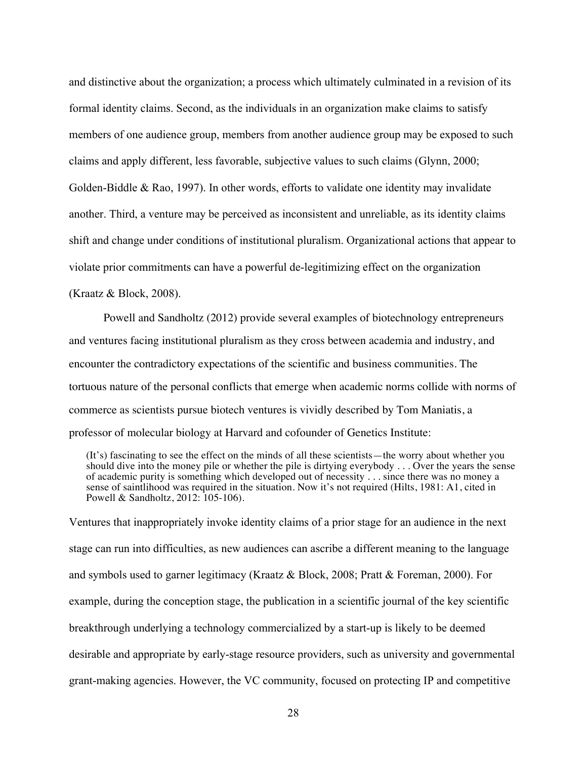and distinctive about the organization; a process which ultimately culminated in a revision of its formal identity claims. Second, as the individuals in an organization make claims to satisfy members of one audience group, members from another audience group may be exposed to such claims and apply different, less favorable, subjective values to such claims (Glynn, 2000; Golden-Biddle  $\&$  Rao, 1997). In other words, efforts to validate one identity may invalidate another. Third, a venture may be perceived as inconsistent and unreliable, as its identity claims shift and change under conditions of institutional pluralism. Organizational actions that appear to violate prior commitments can have a powerful de-legitimizing effect on the organization (Kraatz & Block, 2008).

Powell and Sandholtz (2012) provide several examples of biotechnology entrepreneurs and ventures facing institutional pluralism as they cross between academia and industry, and encounter the contradictory expectations of the scientific and business communities. The tortuous nature of the personal conflicts that emerge when academic norms collide with norms of commerce as scientists pursue biotech ventures is vividly described by Tom Maniatis, a professor of molecular biology at Harvard and cofounder of Genetics Institute:

(It's) fascinating to see the effect on the minds of all these scientists—the worry about whether you should dive into the money pile or whether the pile is dirtying everybody  $\dots$  Over the years the sense of academic purity is something which developed out of necessity . . . since there was no money a sense of saintlihood was required in the situation. Now it's not required (Hilts, 1981: A1, cited in Powell & Sandholtz, 2012: 105-106).

Ventures that inappropriately invoke identity claims of a prior stage for an audience in the next stage can run into difficulties, as new audiences can ascribe a different meaning to the language and symbols used to garner legitimacy (Kraatz & Block, 2008; Pratt & Foreman, 2000). For example, during the conception stage, the publication in a scientific journal of the key scientific breakthrough underlying a technology commercialized by a start-up is likely to be deemed desirable and appropriate by early-stage resource providers, such as university and governmental grant-making agencies. However, the VC community, focused on protecting IP and competitive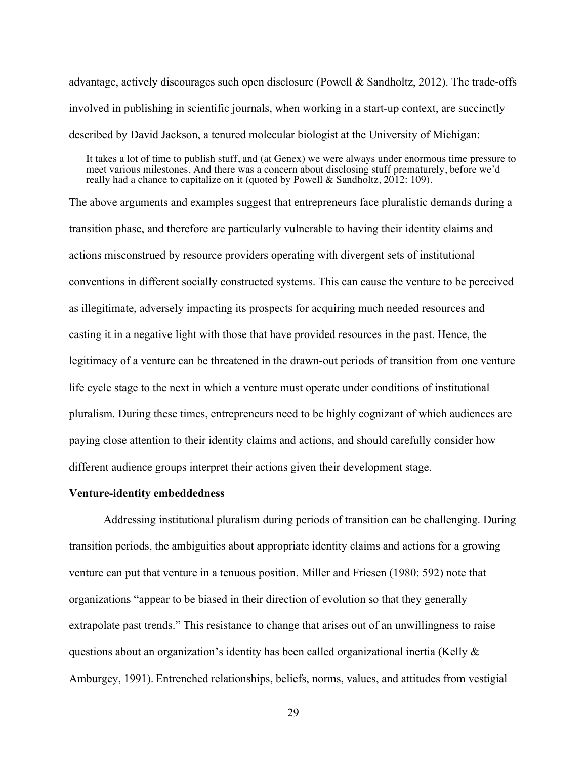advantage, actively discourages such open disclosure (Powell & Sandholtz, 2012). The trade-offs involved in publishing in scientific journals, when working in a start-up context, are succinctly described by David Jackson, a tenured molecular biologist at the University of Michigan:

It takes a lot of time to publish stuff, and (at Genex) we were always under enormous time pressure to meet various milestones. And there was a concern about disclosing stuff prematurely, before we'd really had a chance to capitalize on it (quoted by Powell & Sandholtz,  $2012:109$ ).

The above arguments and examples suggest that entrepreneurs face pluralistic demands during a transition phase, and therefore are particularly vulnerable to having their identity claims and actions misconstrued by resource providers operating with divergent sets of institutional conventions in different socially constructed systems. This can cause the venture to be perceived as illegitimate, adversely impacting its prospects for acquiring much needed resources and casting it in a negative light with those that have provided resources in the past. Hence, the legitimacy of a venture can be threatened in the drawn-out periods of transition from one venture life cycle stage to the next in which a venture must operate under conditions of institutional pluralism. During these times, entrepreneurs need to be highly cognizant of which audiences are paying close attention to their identity claims and actions, and should carefully consider how different audience groups interpret their actions given their development stage.

## **Venture-identity embeddedness**

Addressing institutional pluralism during periods of transition can be challenging. During transition periods, the ambiguities about appropriate identity claims and actions for a growing venture can put that venture in a tenuous position. Miller and Friesen (1980: 592) note that organizations "appear to be biased in their direction of evolution so that they generally extrapolate past trends." This resistance to change that arises out of an unwillingness to raise questions about an organization's identity has been called organizational inertia (Kelly  $\&$ Amburgey, 1991). Entrenched relationships, beliefs, norms, values, and attitudes from vestigial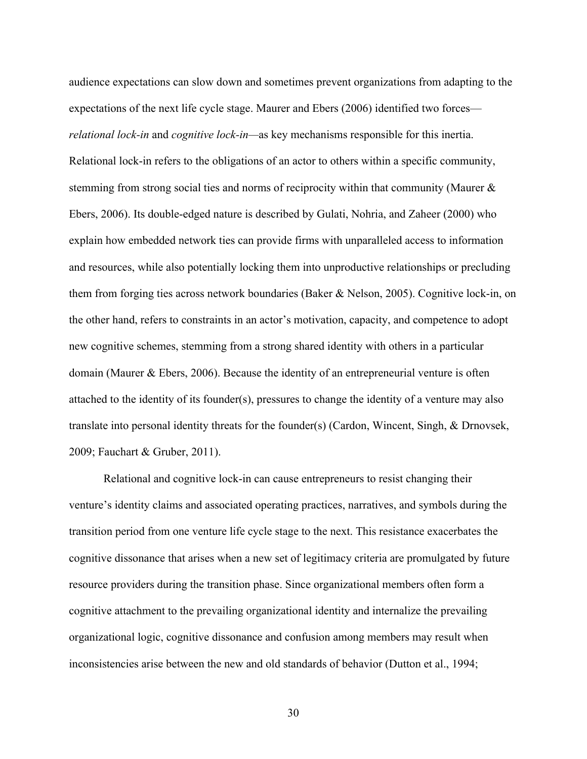audience expectations can slow down and sometimes prevent organizations from adapting to the expectations of the next life cycle stage. Maurer and Ebers (2006) identified two forces *relational lock-in* and *cognitive lock-in—*as key mechanisms responsible for this inertia. Relational lock-in refers to the obligations of an actor to others within a specific community, stemming from strong social ties and norms of reciprocity within that community (Maurer & Ebers, 2006). Its double-edged nature is described by Gulati, Nohria, and Zaheer (2000) who explain how embedded network ties can provide firms with unparalleled access to information and resources, while also potentially locking them into unproductive relationships or precluding them from forging ties across network boundaries (Baker & Nelson, 2005). Cognitive lock-in, on the other hand, refers to constraints in an actor's motivation, capacity, and competence to adopt new cognitive schemes, stemming from a strong shared identity with others in a particular domain (Maurer & Ebers, 2006). Because the identity of an entrepreneurial venture is often attached to the identity of its founder(s), pressures to change the identity of a venture may also translate into personal identity threats for the founder(s) (Cardon, Wincent, Singh, & Drnovsek, 2009; Fauchart & Gruber, 2011).

Relational and cognitive lock-in can cause entrepreneurs to resist changing their venture's identity claims and associated operating practices, narratives, and symbols during the transition period from one venture life cycle stage to the next. This resistance exacerbates the cognitive dissonance that arises when a new set of legitimacy criteria are promulgated by future resource providers during the transition phase. Since organizational members often form a cognitive attachment to the prevailing organizational identity and internalize the prevailing organizational logic, cognitive dissonance and confusion among members may result when inconsistencies arise between the new and old standards of behavior (Dutton et al., 1994;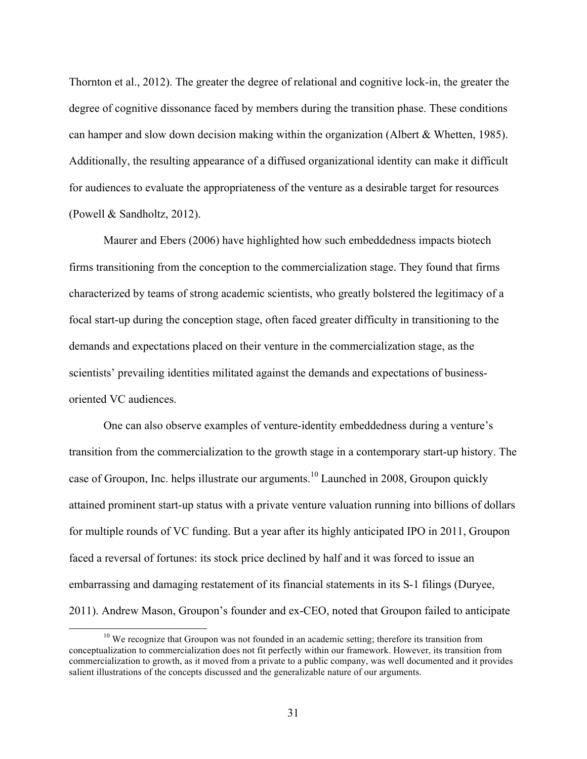Thornton et al., 2012). The greater the degree of relational and cognitive lock-in, the greater the degree of cognitive dissonance faced by members during the transition phase. These conditions can hamper and slow down decision making within the organization (Albert  $\&$  Whetten, 1985). Additionally, the resulting appearance of a diffused organizational identity can make it difficult for audiences to evaluate the appropriateness of the venture as a desirable target for resources (Powell & Sandholtz, 2012).

Maurer and Ebers (2006) have highlighted how such embeddedness impacts biotech firms transitioning from the conception to the commercialization stage. They found that firms characterized by teams of strong academic scientists, who greatly bolstered the legitimacy of a focal start-up during the conception stage, often faced greater difficulty in transitioning to the demands and expectations placed on their venture in the commercialization stage, as the scientists' prevailing identities militated against the demands and expectations of businessoriented VC audiences.

One can also observe examples of venture-identity embeddedness during a venture's transition from the commercialization to the growth stage in a contemporary start-up history. The case of Groupon, Inc. helps illustrate our arguments.<sup>10</sup> Launched in 2008, Groupon quickly attained prominent start-up status with a private venture valuation running into billions of dollars for multiple rounds of VC funding. But a year after its highly anticipated IPO in 2011, Groupon faced a reversal of fortunes: its stock price declined by half and it was forced to issue an embarrassing and damaging restatement of its financial statements in its S-1 filings (Duryee, 2011). Andrew Mason, Groupon's founder and ex-CEO, noted that Groupon failed to anticipate

 $10$  We recognize that Groupon was not founded in an academic setting; therefore its transition from conceptualization to commercialization does not fit perfectly within our framework. However, its transition from commercialization to growth, as it moved from a private to a public company, was well documented and it provides salient illustrations of the concepts discussed and the generalizable nature of our arguments.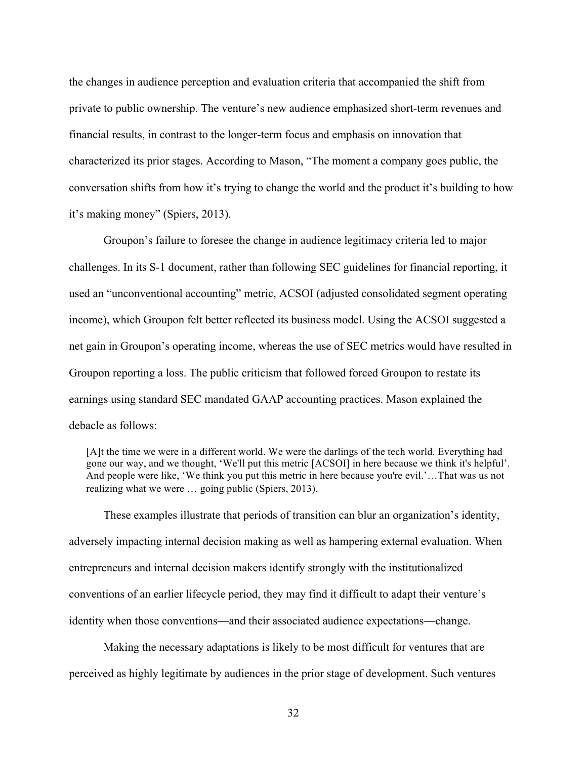the changes in audience perception and evaluation criteria that accompanied the shift from private to public ownership. The venture's new audience emphasized short-term revenues and financial results, in contrast to the longer-term focus and emphasis on innovation that characterized its prior stages. According to Mason, "The moment a company goes public, the conversation shifts from how it's trying to change the world and the product it's building to how it's making money" (Spiers, 2013).

Groupon's failure to foresee the change in audience legitimacy criteria led to major challenges. In its S-1 document, rather than following SEC guidelines for financial reporting, it used an "unconventional accounting" metric, ACSOI (adjusted consolidated segment operating income), which Groupon felt better reflected its business model. Using the ACSOI suggested a net gain in Groupon's operating income, whereas the use of SEC metrics would have resulted in Groupon reporting a loss. The public criticism that followed forced Groupon to restate its earnings using standard SEC mandated GAAP accounting practices. Mason explained the debacle as follows:

[A]t the time we were in a different world. We were the darlings of the tech world. Everything had gone our way, and we thought, 'We'll put this metric [ACSOI] in here because we think it's helpful'. And people were like, 'We think you put this metric in here because you're evil.'…That was us not realizing what we were … going public (Spiers, 2013).

These examples illustrate that periods of transition can blur an organization's identity, adversely impacting internal decision making as well as hampering external evaluation. When entrepreneurs and internal decision makers identify strongly with the institutionalized conventions of an earlier lifecycle period, they may find it difficult to adapt their venture's identity when those conventions—and their associated audience expectations—change.

Making the necessary adaptations is likely to be most difficult for ventures that are perceived as highly legitimate by audiences in the prior stage of development. Such ventures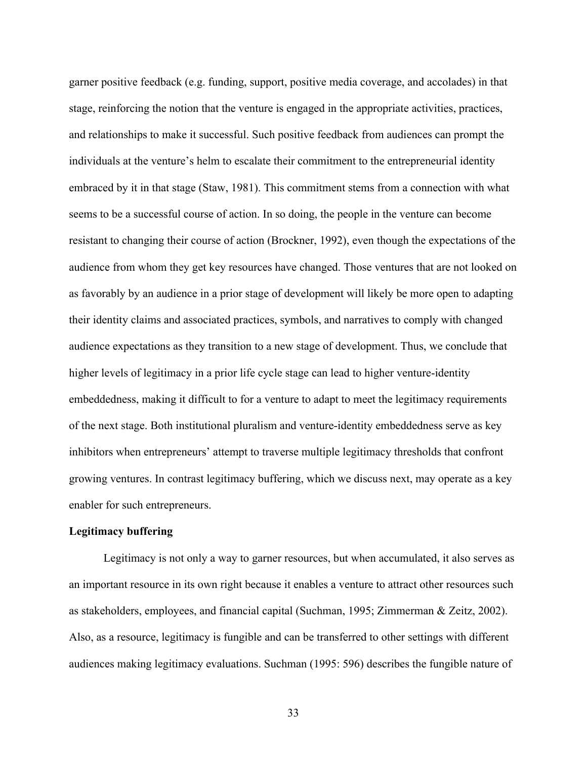garner positive feedback (e.g. funding, support, positive media coverage, and accolades) in that stage, reinforcing the notion that the venture is engaged in the appropriate activities, practices, and relationships to make it successful. Such positive feedback from audiences can prompt the individuals at the venture's helm to escalate their commitment to the entrepreneurial identity embraced by it in that stage (Staw, 1981). This commitment stems from a connection with what seems to be a successful course of action. In so doing, the people in the venture can become resistant to changing their course of action (Brockner, 1992), even though the expectations of the audience from whom they get key resources have changed. Those ventures that are not looked on as favorably by an audience in a prior stage of development will likely be more open to adapting their identity claims and associated practices, symbols, and narratives to comply with changed audience expectations as they transition to a new stage of development. Thus, we conclude that higher levels of legitimacy in a prior life cycle stage can lead to higher venture-identity embeddedness, making it difficult to for a venture to adapt to meet the legitimacy requirements of the next stage. Both institutional pluralism and venture-identity embeddedness serve as key inhibitors when entrepreneurs' attempt to traverse multiple legitimacy thresholds that confront growing ventures. In contrast legitimacy buffering, which we discuss next, may operate as a key enabler for such entrepreneurs.

## **Legitimacy buffering**

Legitimacy is not only a way to garner resources, but when accumulated, it also serves as an important resource in its own right because it enables a venture to attract other resources such as stakeholders, employees, and financial capital (Suchman, 1995; Zimmerman & Zeitz, 2002). Also, as a resource, legitimacy is fungible and can be transferred to other settings with different audiences making legitimacy evaluations. Suchman (1995: 596) describes the fungible nature of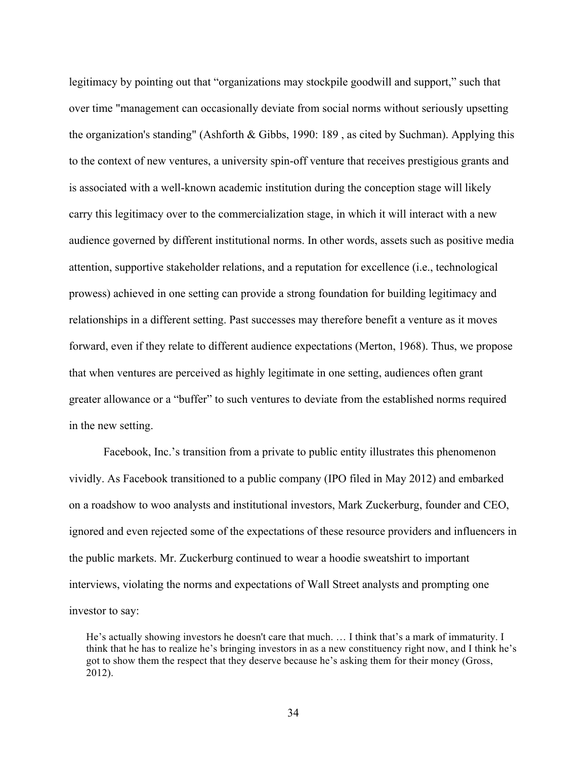legitimacy by pointing out that "organizations may stockpile goodwill and support," such that over time "management can occasionally deviate from social norms without seriously upsetting the organization's standing" (Ashforth & Gibbs, 1990: 189 , as cited by Suchman). Applying this to the context of new ventures, a university spin-off venture that receives prestigious grants and is associated with a well-known academic institution during the conception stage will likely carry this legitimacy over to the commercialization stage, in which it will interact with a new audience governed by different institutional norms. In other words, assets such as positive media attention, supportive stakeholder relations, and a reputation for excellence (i.e., technological prowess) achieved in one setting can provide a strong foundation for building legitimacy and relationships in a different setting. Past successes may therefore benefit a venture as it moves forward, even if they relate to different audience expectations (Merton, 1968). Thus, we propose that when ventures are perceived as highly legitimate in one setting, audiences often grant greater allowance or a "buffer" to such ventures to deviate from the established norms required in the new setting.

Facebook, Inc.'s transition from a private to public entity illustrates this phenomenon vividly. As Facebook transitioned to a public company (IPO filed in May 2012) and embarked on a roadshow to woo analysts and institutional investors, Mark Zuckerburg, founder and CEO, ignored and even rejected some of the expectations of these resource providers and influencers in the public markets. Mr. Zuckerburg continued to wear a hoodie sweatshirt to important interviews, violating the norms and expectations of Wall Street analysts and prompting one investor to say:

He's actually showing investors he doesn't care that much. … I think that's a mark of immaturity. I think that he has to realize he's bringing investors in as a new constituency right now, and I think he's got to show them the respect that they deserve because he's asking them for their money (Gross, 2012).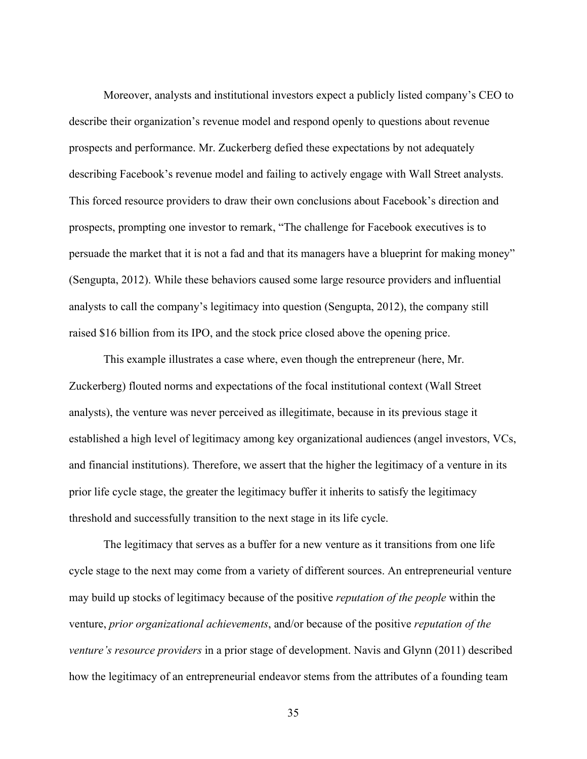Moreover, analysts and institutional investors expect a publicly listed company's CEO to describe their organization's revenue model and respond openly to questions about revenue prospects and performance. Mr. Zuckerberg defied these expectations by not adequately describing Facebook's revenue model and failing to actively engage with Wall Street analysts. This forced resource providers to draw their own conclusions about Facebook's direction and prospects, prompting one investor to remark, "The challenge for Facebook executives is to persuade the market that it is not a fad and that its managers have a blueprint for making money" (Sengupta, 2012). While these behaviors caused some large resource providers and influential analysts to call the company's legitimacy into question (Sengupta, 2012), the company still raised \$16 billion from its IPO, and the stock price closed above the opening price.

This example illustrates a case where, even though the entrepreneur (here, Mr. Zuckerberg) flouted norms and expectations of the focal institutional context (Wall Street analysts), the venture was never perceived as illegitimate, because in its previous stage it established a high level of legitimacy among key organizational audiences (angel investors, VCs, and financial institutions). Therefore, we assert that the higher the legitimacy of a venture in its prior life cycle stage, the greater the legitimacy buffer it inherits to satisfy the legitimacy threshold and successfully transition to the next stage in its life cycle.

The legitimacy that serves as a buffer for a new venture as it transitions from one life cycle stage to the next may come from a variety of different sources. An entrepreneurial venture may build up stocks of legitimacy because of the positive *reputation of the people* within the venture, *prior organizational achievements*, and/or because of the positive *reputation of the venture's resource providers* in a prior stage of development. Navis and Glynn (2011) described how the legitimacy of an entrepreneurial endeavor stems from the attributes of a founding team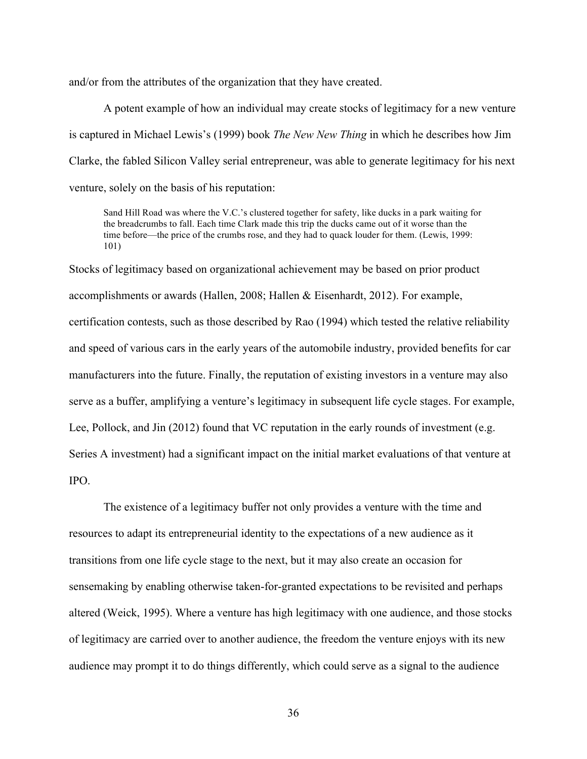and/or from the attributes of the organization that they have created.

A potent example of how an individual may create stocks of legitimacy for a new venture is captured in Michael Lewis's (1999) book *The New New Thing* in which he describes how Jim Clarke, the fabled Silicon Valley serial entrepreneur, was able to generate legitimacy for his next venture, solely on the basis of his reputation:

Sand Hill Road was where the V.C.'s clustered together for safety, like ducks in a park waiting for the breadcrumbs to fall. Each time Clark made this trip the ducks came out of it worse than the time before—the price of the crumbs rose, and they had to quack louder for them. (Lewis, 1999: 101)

Stocks of legitimacy based on organizational achievement may be based on prior product accomplishments or awards (Hallen, 2008; Hallen & Eisenhardt, 2012). For example, certification contests, such as those described by Rao (1994) which tested the relative reliability and speed of various cars in the early years of the automobile industry, provided benefits for car manufacturers into the future. Finally, the reputation of existing investors in a venture may also serve as a buffer, amplifying a venture's legitimacy in subsequent life cycle stages. For example, Lee, Pollock, and Jin (2012) found that VC reputation in the early rounds of investment (e.g. Series A investment) had a significant impact on the initial market evaluations of that venture at IPO.

The existence of a legitimacy buffer not only provides a venture with the time and resources to adapt its entrepreneurial identity to the expectations of a new audience as it transitions from one life cycle stage to the next, but it may also create an occasion for sensemaking by enabling otherwise taken-for-granted expectations to be revisited and perhaps altered (Weick, 1995). Where a venture has high legitimacy with one audience, and those stocks of legitimacy are carried over to another audience, the freedom the venture enjoys with its new audience may prompt it to do things differently, which could serve as a signal to the audience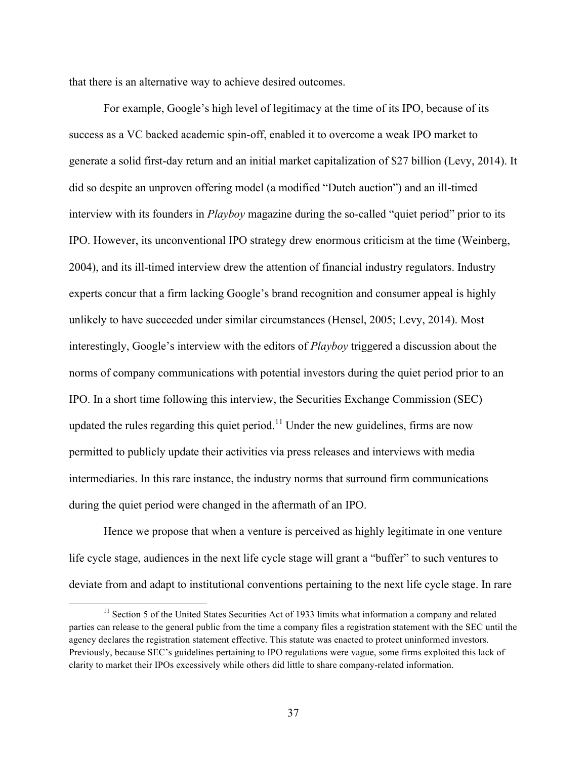that there is an alternative way to achieve desired outcomes.

For example, Google's high level of legitimacy at the time of its IPO, because of its success as a VC backed academic spin-off, enabled it to overcome a weak IPO market to generate a solid first-day return and an initial market capitalization of \$27 billion (Levy, 2014). It did so despite an unproven offering model (a modified "Dutch auction") and an ill-timed interview with its founders in *Playboy* magazine during the so-called "quiet period" prior to its IPO. However, its unconventional IPO strategy drew enormous criticism at the time (Weinberg, 2004), and its ill-timed interview drew the attention of financial industry regulators. Industry experts concur that a firm lacking Google's brand recognition and consumer appeal is highly unlikely to have succeeded under similar circumstances (Hensel, 2005; Levy, 2014). Most interestingly, Google's interview with the editors of *Playboy* triggered a discussion about the norms of company communications with potential investors during the quiet period prior to an IPO. In a short time following this interview, the Securities Exchange Commission (SEC) updated the rules regarding this quiet period.<sup>11</sup> Under the new guidelines, firms are now permitted to publicly update their activities via press releases and interviews with media intermediaries. In this rare instance, the industry norms that surround firm communications during the quiet period were changed in the aftermath of an IPO.

Hence we propose that when a venture is perceived as highly legitimate in one venture life cycle stage, audiences in the next life cycle stage will grant a "buffer" to such ventures to deviate from and adapt to institutional conventions pertaining to the next life cycle stage. In rare

<sup>&</sup>lt;sup>11</sup> Section 5 of the United States Securities Act of 1933 limits what information a company and related parties can release to the general public from the time a company files a registration statement with the SEC until the agency declares the registration statement effective. This statute was enacted to protect uninformed investors. Previously, because SEC's guidelines pertaining to IPO regulations were vague, some firms exploited this lack of clarity to market their IPOs excessively while others did little to share company-related information.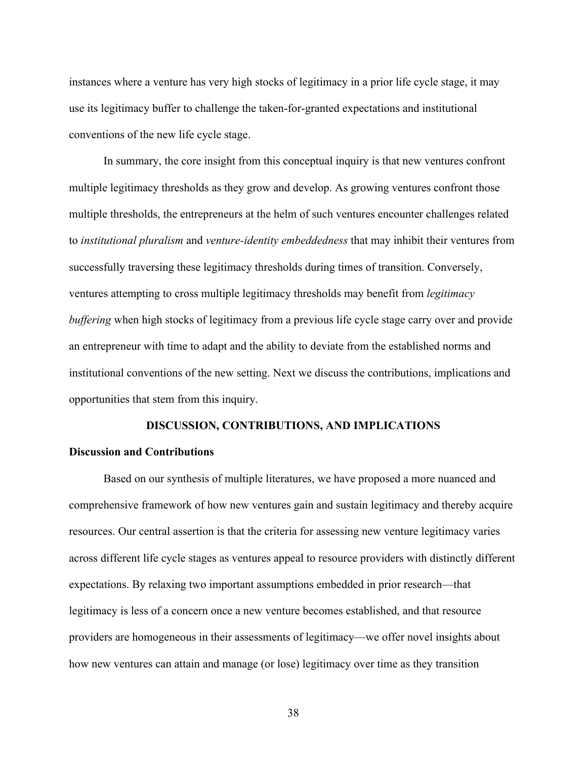instances where a venture has very high stocks of legitimacy in a prior life cycle stage, it may use its legitimacy buffer to challenge the taken-for-granted expectations and institutional conventions of the new life cycle stage.

In summary, the core insight from this conceptual inquiry is that new ventures confront multiple legitimacy thresholds as they grow and develop. As growing ventures confront those multiple thresholds, the entrepreneurs at the helm of such ventures encounter challenges related to *institutional pluralism* and *venture-identity embeddedness* that may inhibit their ventures from successfully traversing these legitimacy thresholds during times of transition. Conversely, ventures attempting to cross multiple legitimacy thresholds may benefit from *legitimacy buffering* when high stocks of legitimacy from a previous life cycle stage carry over and provide an entrepreneur with time to adapt and the ability to deviate from the established norms and institutional conventions of the new setting. Next we discuss the contributions, implications and opportunities that stem from this inquiry.

## **DISCUSSION, CONTRIBUTIONS, AND IMPLICATIONS**

## **Discussion and Contributions**

Based on our synthesis of multiple literatures, we have proposed a more nuanced and comprehensive framework of how new ventures gain and sustain legitimacy and thereby acquire resources. Our central assertion is that the criteria for assessing new venture legitimacy varies across different life cycle stages as ventures appeal to resource providers with distinctly different expectations. By relaxing two important assumptions embedded in prior research—that legitimacy is less of a concern once a new venture becomes established, and that resource providers are homogeneous in their assessments of legitimacy—we offer novel insights about how new ventures can attain and manage (or lose) legitimacy over time as they transition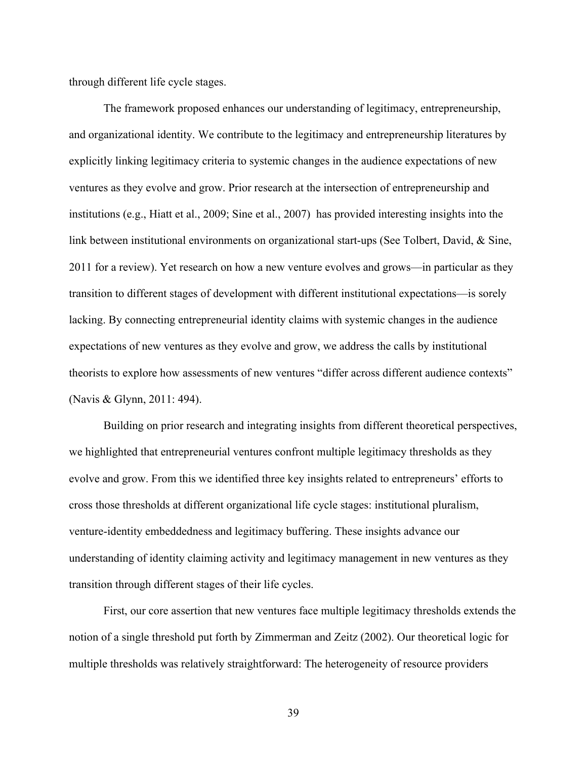through different life cycle stages.

The framework proposed enhances our understanding of legitimacy, entrepreneurship, and organizational identity. We contribute to the legitimacy and entrepreneurship literatures by explicitly linking legitimacy criteria to systemic changes in the audience expectations of new ventures as they evolve and grow. Prior research at the intersection of entrepreneurship and institutions (e.g., Hiatt et al., 2009; Sine et al., 2007) has provided interesting insights into the link between institutional environments on organizational start-ups (See Tolbert, David, & Sine, 2011 for a review). Yet research on how a new venture evolves and grows—in particular as they transition to different stages of development with different institutional expectations—is sorely lacking. By connecting entrepreneurial identity claims with systemic changes in the audience expectations of new ventures as they evolve and grow, we address the calls by institutional theorists to explore how assessments of new ventures "differ across different audience contexts" (Navis & Glynn, 2011: 494).

Building on prior research and integrating insights from different theoretical perspectives, we highlighted that entrepreneurial ventures confront multiple legitimacy thresholds as they evolve and grow. From this we identified three key insights related to entrepreneurs' efforts to cross those thresholds at different organizational life cycle stages: institutional pluralism, venture-identity embeddedness and legitimacy buffering. These insights advance our understanding of identity claiming activity and legitimacy management in new ventures as they transition through different stages of their life cycles.

First, our core assertion that new ventures face multiple legitimacy thresholds extends the notion of a single threshold put forth by Zimmerman and Zeitz (2002). Our theoretical logic for multiple thresholds was relatively straightforward: The heterogeneity of resource providers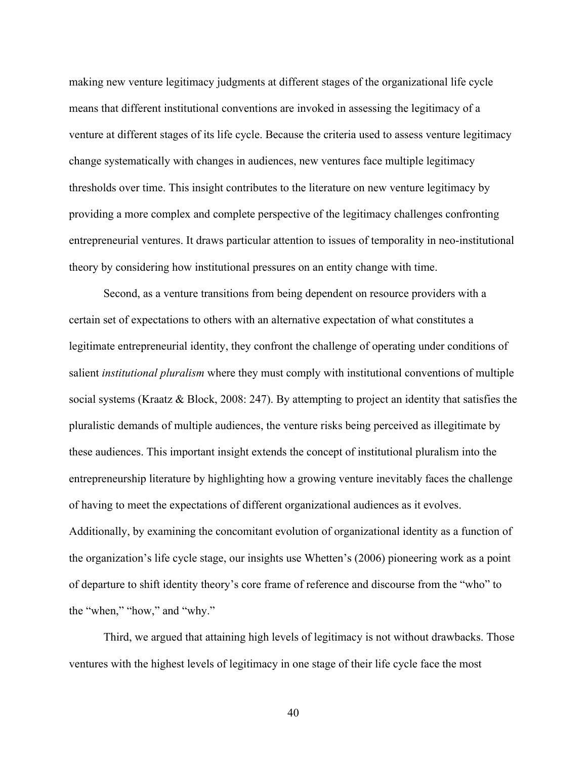making new venture legitimacy judgments at different stages of the organizational life cycle means that different institutional conventions are invoked in assessing the legitimacy of a venture at different stages of its life cycle. Because the criteria used to assess venture legitimacy change systematically with changes in audiences, new ventures face multiple legitimacy thresholds over time. This insight contributes to the literature on new venture legitimacy by providing a more complex and complete perspective of the legitimacy challenges confronting entrepreneurial ventures. It draws particular attention to issues of temporality in neo-institutional theory by considering how institutional pressures on an entity change with time.

Second, as a venture transitions from being dependent on resource providers with a certain set of expectations to others with an alternative expectation of what constitutes a legitimate entrepreneurial identity, they confront the challenge of operating under conditions of salient *institutional pluralism* where they must comply with institutional conventions of multiple social systems (Kraatz & Block, 2008: 247). By attempting to project an identity that satisfies the pluralistic demands of multiple audiences, the venture risks being perceived as illegitimate by these audiences. This important insight extends the concept of institutional pluralism into the entrepreneurship literature by highlighting how a growing venture inevitably faces the challenge of having to meet the expectations of different organizational audiences as it evolves. Additionally, by examining the concomitant evolution of organizational identity as a function of the organization's life cycle stage, our insights use Whetten's (2006) pioneering work as a point of departure to shift identity theory's core frame of reference and discourse from the "who" to the "when," "how," and "why."

Third, we argued that attaining high levels of legitimacy is not without drawbacks. Those ventures with the highest levels of legitimacy in one stage of their life cycle face the most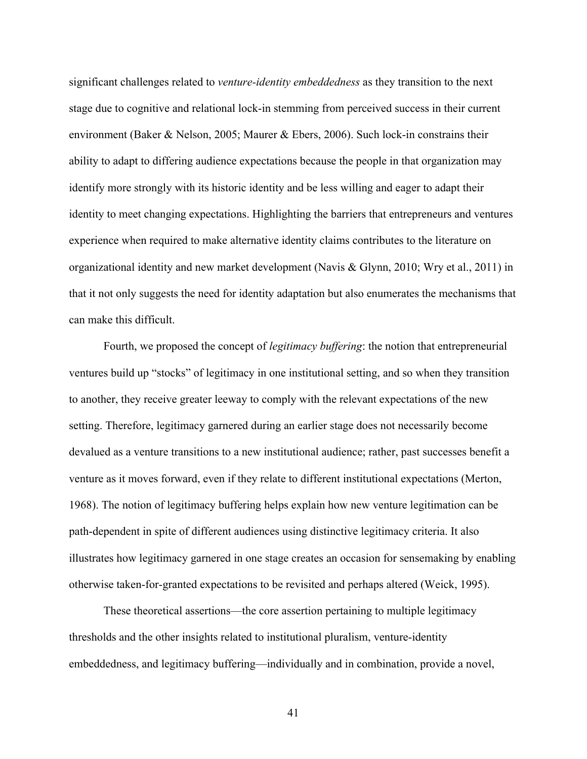significant challenges related to *venture-identity embeddedness* as they transition to the next stage due to cognitive and relational lock-in stemming from perceived success in their current environment (Baker & Nelson, 2005; Maurer & Ebers, 2006). Such lock-in constrains their ability to adapt to differing audience expectations because the people in that organization may identify more strongly with its historic identity and be less willing and eager to adapt their identity to meet changing expectations. Highlighting the barriers that entrepreneurs and ventures experience when required to make alternative identity claims contributes to the literature on organizational identity and new market development (Navis & Glynn, 2010; Wry et al., 2011) in that it not only suggests the need for identity adaptation but also enumerates the mechanisms that can make this difficult.

Fourth, we proposed the concept of *legitimacy buffering*: the notion that entrepreneurial ventures build up "stocks" of legitimacy in one institutional setting, and so when they transition to another, they receive greater leeway to comply with the relevant expectations of the new setting. Therefore, legitimacy garnered during an earlier stage does not necessarily become devalued as a venture transitions to a new institutional audience; rather, past successes benefit a venture as it moves forward, even if they relate to different institutional expectations (Merton, 1968). The notion of legitimacy buffering helps explain how new venture legitimation can be path-dependent in spite of different audiences using distinctive legitimacy criteria. It also illustrates how legitimacy garnered in one stage creates an occasion for sensemaking by enabling otherwise taken-for-granted expectations to be revisited and perhaps altered (Weick, 1995).

These theoretical assertions—the core assertion pertaining to multiple legitimacy thresholds and the other insights related to institutional pluralism, venture-identity embeddedness, and legitimacy buffering—individually and in combination, provide a novel,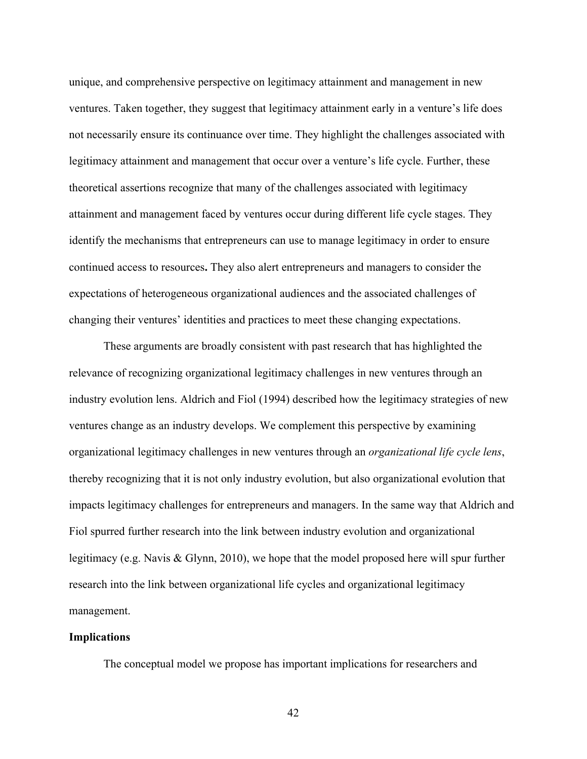unique, and comprehensive perspective on legitimacy attainment and management in new ventures. Taken together, they suggest that legitimacy attainment early in a venture's life does not necessarily ensure its continuance over time. They highlight the challenges associated with legitimacy attainment and management that occur over a venture's life cycle. Further, these theoretical assertions recognize that many of the challenges associated with legitimacy attainment and management faced by ventures occur during different life cycle stages. They identify the mechanisms that entrepreneurs can use to manage legitimacy in order to ensure continued access to resources**.** They also alert entrepreneurs and managers to consider the expectations of heterogeneous organizational audiences and the associated challenges of changing their ventures' identities and practices to meet these changing expectations.

These arguments are broadly consistent with past research that has highlighted the relevance of recognizing organizational legitimacy challenges in new ventures through an industry evolution lens. Aldrich and Fiol (1994) described how the legitimacy strategies of new ventures change as an industry develops. We complement this perspective by examining organizational legitimacy challenges in new ventures through an *organizational life cycle lens*, thereby recognizing that it is not only industry evolution, but also organizational evolution that impacts legitimacy challenges for entrepreneurs and managers. In the same way that Aldrich and Fiol spurred further research into the link between industry evolution and organizational legitimacy (e.g. Navis & Glynn, 2010), we hope that the model proposed here will spur further research into the link between organizational life cycles and organizational legitimacy management.

## **Implications**

The conceptual model we propose has important implications for researchers and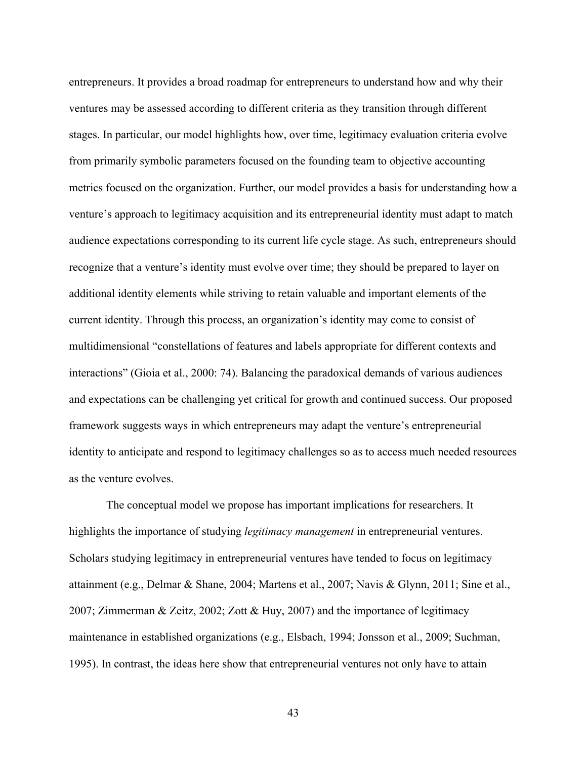entrepreneurs. It provides a broad roadmap for entrepreneurs to understand how and why their ventures may be assessed according to different criteria as they transition through different stages. In particular, our model highlights how, over time, legitimacy evaluation criteria evolve from primarily symbolic parameters focused on the founding team to objective accounting metrics focused on the organization. Further, our model provides a basis for understanding how a venture's approach to legitimacy acquisition and its entrepreneurial identity must adapt to match audience expectations corresponding to its current life cycle stage. As such, entrepreneurs should recognize that a venture's identity must evolve over time; they should be prepared to layer on additional identity elements while striving to retain valuable and important elements of the current identity. Through this process, an organization's identity may come to consist of multidimensional "constellations of features and labels appropriate for different contexts and interactions" (Gioia et al., 2000: 74). Balancing the paradoxical demands of various audiences and expectations can be challenging yet critical for growth and continued success. Our proposed framework suggests ways in which entrepreneurs may adapt the venture's entrepreneurial identity to anticipate and respond to legitimacy challenges so as to access much needed resources as the venture evolves.

The conceptual model we propose has important implications for researchers. It highlights the importance of studying *legitimacy management* in entrepreneurial ventures. Scholars studying legitimacy in entrepreneurial ventures have tended to focus on legitimacy attainment (e.g., Delmar & Shane, 2004; Martens et al., 2007; Navis & Glynn, 2011; Sine et al., 2007; Zimmerman & Zeitz, 2002; Zott & Huy, 2007) and the importance of legitimacy maintenance in established organizations (e.g., Elsbach, 1994; Jonsson et al., 2009; Suchman, 1995). In contrast, the ideas here show that entrepreneurial ventures not only have to attain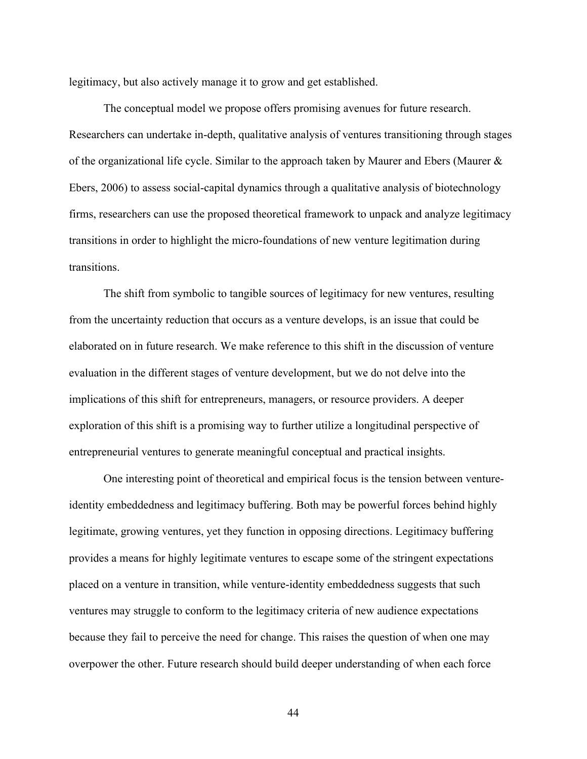legitimacy, but also actively manage it to grow and get established.

The conceptual model we propose offers promising avenues for future research. Researchers can undertake in-depth, qualitative analysis of ventures transitioning through stages of the organizational life cycle. Similar to the approach taken by Maurer and Ebers (Maurer & Ebers, 2006) to assess social-capital dynamics through a qualitative analysis of biotechnology firms, researchers can use the proposed theoretical framework to unpack and analyze legitimacy transitions in order to highlight the micro-foundations of new venture legitimation during transitions.

The shift from symbolic to tangible sources of legitimacy for new ventures, resulting from the uncertainty reduction that occurs as a venture develops, is an issue that could be elaborated on in future research. We make reference to this shift in the discussion of venture evaluation in the different stages of venture development, but we do not delve into the implications of this shift for entrepreneurs, managers, or resource providers. A deeper exploration of this shift is a promising way to further utilize a longitudinal perspective of entrepreneurial ventures to generate meaningful conceptual and practical insights.

One interesting point of theoretical and empirical focus is the tension between ventureidentity embeddedness and legitimacy buffering. Both may be powerful forces behind highly legitimate, growing ventures, yet they function in opposing directions. Legitimacy buffering provides a means for highly legitimate ventures to escape some of the stringent expectations placed on a venture in transition, while venture-identity embeddedness suggests that such ventures may struggle to conform to the legitimacy criteria of new audience expectations because they fail to perceive the need for change. This raises the question of when one may overpower the other. Future research should build deeper understanding of when each force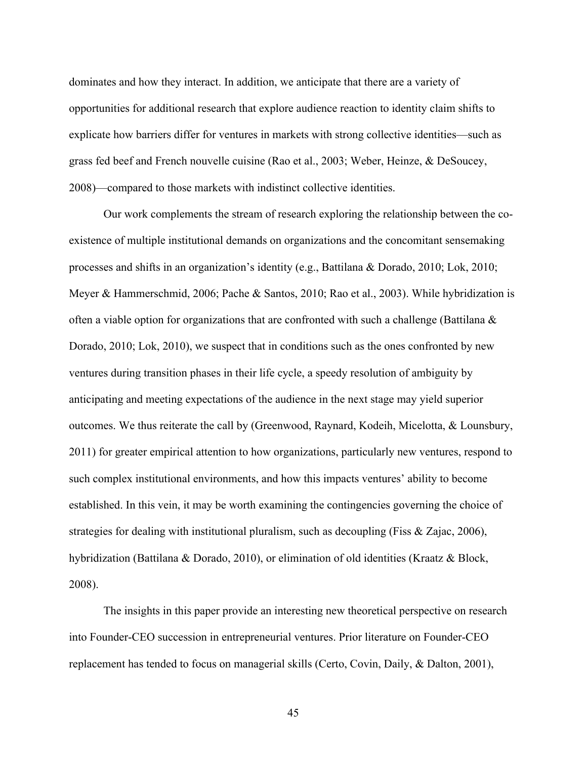dominates and how they interact. In addition, we anticipate that there are a variety of opportunities for additional research that explore audience reaction to identity claim shifts to explicate how barriers differ for ventures in markets with strong collective identities—such as grass fed beef and French nouvelle cuisine (Rao et al., 2003; Weber, Heinze, & DeSoucey, 2008)—compared to those markets with indistinct collective identities.

Our work complements the stream of research exploring the relationship between the coexistence of multiple institutional demands on organizations and the concomitant sensemaking processes and shifts in an organization's identity (e.g., Battilana & Dorado, 2010; Lok, 2010; Meyer & Hammerschmid, 2006; Pache & Santos, 2010; Rao et al., 2003). While hybridization is often a viable option for organizations that are confronted with such a challenge (Battilana & Dorado, 2010; Lok, 2010), we suspect that in conditions such as the ones confronted by new ventures during transition phases in their life cycle, a speedy resolution of ambiguity by anticipating and meeting expectations of the audience in the next stage may yield superior outcomes. We thus reiterate the call by (Greenwood, Raynard, Kodeih, Micelotta, & Lounsbury, 2011) for greater empirical attention to how organizations, particularly new ventures, respond to such complex institutional environments, and how this impacts ventures' ability to become established. In this vein, it may be worth examining the contingencies governing the choice of strategies for dealing with institutional pluralism, such as decoupling (Fiss & Zajac, 2006), hybridization (Battilana & Dorado, 2010), or elimination of old identities (Kraatz & Block, 2008).

The insights in this paper provide an interesting new theoretical perspective on research into Founder-CEO succession in entrepreneurial ventures. Prior literature on Founder-CEO replacement has tended to focus on managerial skills (Certo, Covin, Daily, & Dalton, 2001),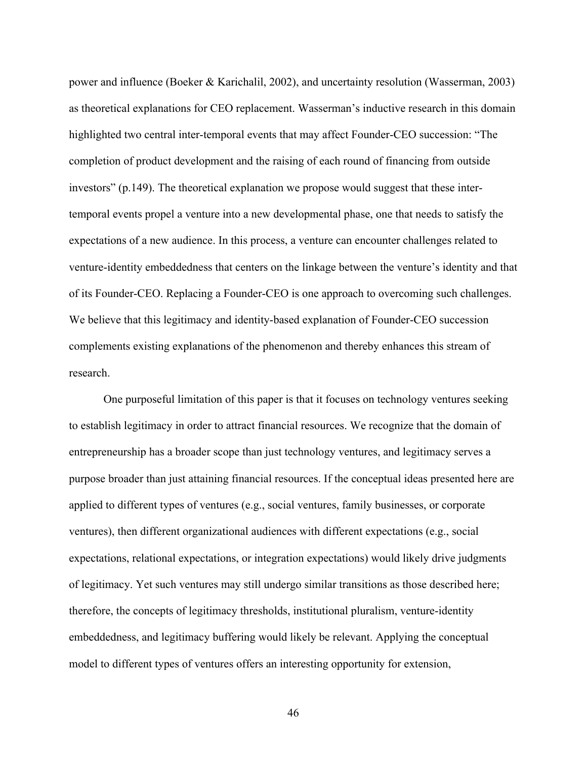power and influence (Boeker & Karichalil, 2002), and uncertainty resolution (Wasserman, 2003) as theoretical explanations for CEO replacement. Wasserman's inductive research in this domain highlighted two central inter-temporal events that may affect Founder-CEO succession: "The completion of product development and the raising of each round of financing from outside investors" (p.149). The theoretical explanation we propose would suggest that these intertemporal events propel a venture into a new developmental phase, one that needs to satisfy the expectations of a new audience. In this process, a venture can encounter challenges related to venture-identity embeddedness that centers on the linkage between the venture's identity and that of its Founder-CEO. Replacing a Founder-CEO is one approach to overcoming such challenges. We believe that this legitimacy and identity-based explanation of Founder-CEO succession complements existing explanations of the phenomenon and thereby enhances this stream of research.

One purposeful limitation of this paper is that it focuses on technology ventures seeking to establish legitimacy in order to attract financial resources. We recognize that the domain of entrepreneurship has a broader scope than just technology ventures, and legitimacy serves a purpose broader than just attaining financial resources. If the conceptual ideas presented here are applied to different types of ventures (e.g., social ventures, family businesses, or corporate ventures), then different organizational audiences with different expectations (e.g., social expectations, relational expectations, or integration expectations) would likely drive judgments of legitimacy. Yet such ventures may still undergo similar transitions as those described here; therefore, the concepts of legitimacy thresholds, institutional pluralism, venture-identity embeddedness, and legitimacy buffering would likely be relevant. Applying the conceptual model to different types of ventures offers an interesting opportunity for extension,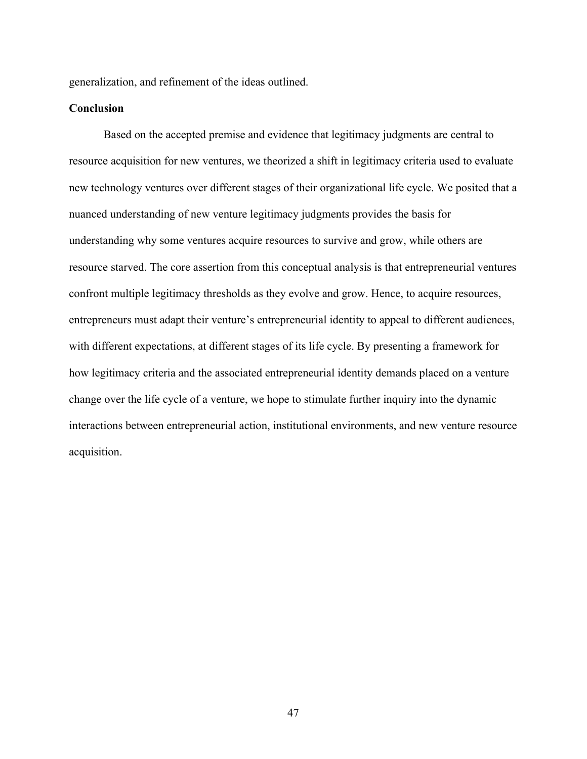generalization, and refinement of the ideas outlined.

## **Conclusion**

Based on the accepted premise and evidence that legitimacy judgments are central to resource acquisition for new ventures, we theorized a shift in legitimacy criteria used to evaluate new technology ventures over different stages of their organizational life cycle. We posited that a nuanced understanding of new venture legitimacy judgments provides the basis for understanding why some ventures acquire resources to survive and grow, while others are resource starved. The core assertion from this conceptual analysis is that entrepreneurial ventures confront multiple legitimacy thresholds as they evolve and grow. Hence, to acquire resources, entrepreneurs must adapt their venture's entrepreneurial identity to appeal to different audiences, with different expectations, at different stages of its life cycle. By presenting a framework for how legitimacy criteria and the associated entrepreneurial identity demands placed on a venture change over the life cycle of a venture, we hope to stimulate further inquiry into the dynamic interactions between entrepreneurial action, institutional environments, and new venture resource acquisition.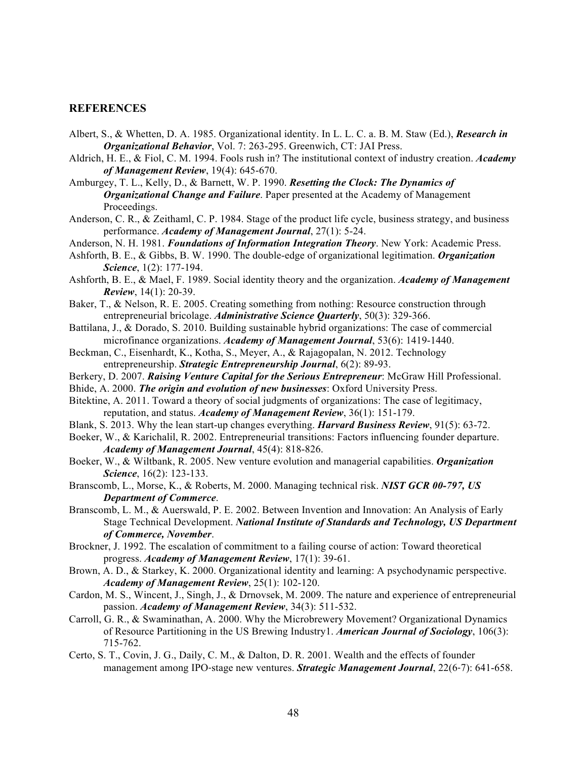#### **REFERENCES**

- Albert, S., & Whetten, D. A. 1985. Organizational identity. In L. L. C. a. B. M. Staw (Ed.), *Research in Organizational Behavior*, Vol. 7: 263-295. Greenwich, CT: JAI Press.
- Aldrich, H. E., & Fiol, C. M. 1994. Fools rush in? The institutional context of industry creation. *Academy of Management Review*, 19(4): 645-670.
- Amburgey, T. L., Kelly, D., & Barnett, W. P. 1990. *Resetting the Clock: The Dynamics of Organizational Change and Failure*. Paper presented at the Academy of Management Proceedings.
- Anderson, C. R., & Zeithaml, C. P. 1984. Stage of the product life cycle, business strategy, and business performance. *Academy of Management Journal*, 27(1): 5-24.
- Anderson, N. H. 1981. *Foundations of Information Integration Theory*. New York: Academic Press.
- Ashforth, B. E., & Gibbs, B. W. 1990. The double-edge of organizational legitimation. *Organization Science*, 1(2): 177-194.
- Ashforth, B. E., & Mael, F. 1989. Social identity theory and the organization. *Academy of Management Review*, 14(1): 20-39.
- Baker, T., & Nelson, R. E. 2005. Creating something from nothing: Resource construction through entrepreneurial bricolage. *Administrative Science Quarterly*, 50(3): 329-366.
- Battilana, J., & Dorado, S. 2010. Building sustainable hybrid organizations: The case of commercial microfinance organizations. *Academy of Management Journal*, 53(6): 1419-1440.
- Beckman, C., Eisenhardt, K., Kotha, S., Meyer, A., & Rajagopalan, N. 2012. Technology entrepreneurship. *Strategic Entrepreneurship Journal*, 6(2): 89-93.
- Berkery, D. 2007. *Raising Venture Capital for the Serious Entrepreneur*: McGraw Hill Professional.
- Bhide, A. 2000. *The origin and evolution of new businesses*: Oxford University Press.
- Bitektine, A. 2011. Toward a theory of social judgments of organizations: The case of legitimacy, reputation, and status. *Academy of Management Review*, 36(1): 151-179.
- Blank, S. 2013. Why the lean start-up changes everything. *Harvard Business Review*, 91(5): 63-72.
- Boeker, W., & Karichalil, R. 2002. Entrepreneurial transitions: Factors influencing founder departure. *Academy of Management Journal*, 45(4): 818-826.
- Boeker, W., & Wiltbank, R. 2005. New venture evolution and managerial capabilities. *Organization Science*, 16(2): 123-133.
- Branscomb, L., Morse, K., & Roberts, M. 2000. Managing technical risk. *NIST GCR 00-797, US Department of Commerce*.
- Branscomb, L. M., & Auerswald, P. E. 2002. Between Invention and Innovation: An Analysis of Early Stage Technical Development. *National Institute of Standards and Technology, US Department of Commerce, November*.
- Brockner, J. 1992. The escalation of commitment to a failing course of action: Toward theoretical progress. *Academy of Management Review*, 17(1): 39-61.
- Brown, A. D., & Starkey, K. 2000. Organizational identity and learning: A psychodynamic perspective. *Academy of Management Review*, 25(1): 102-120.
- Cardon, M. S., Wincent, J., Singh, J., & Drnovsek, M. 2009. The nature and experience of entrepreneurial passion. *Academy of Management Review*, 34(3): 511-532.
- Carroll, G. R., & Swaminathan, A. 2000. Why the Microbrewery Movement? Organizational Dynamics of Resource Partitioning in the US Brewing Industry1. *American Journal of Sociology*, 106(3): 715-762.
- Certo, S. T., Covin, J. G., Daily, C. M., & Dalton, D. R. 2001. Wealth and the effects of founder management among IPO‐stage new ventures. *Strategic Management Journal*, 22(6‐7): 641-658.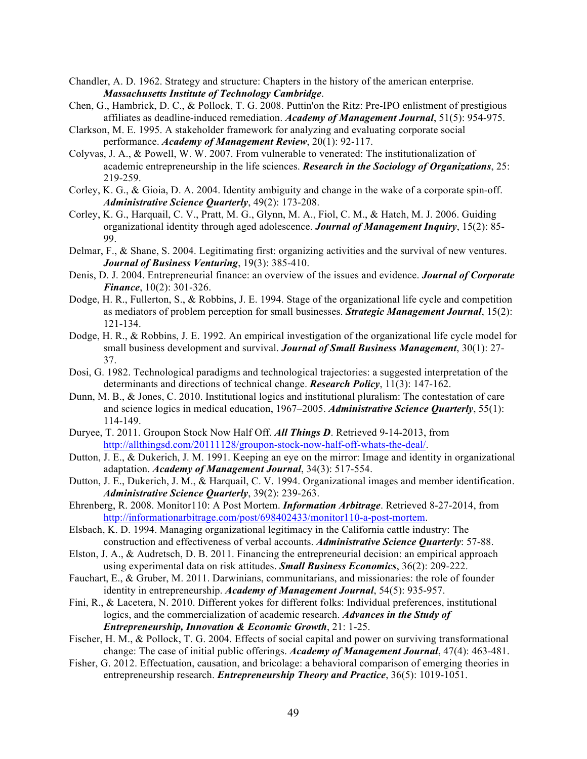- Chandler, A. D. 1962. Strategy and structure: Chapters in the history of the american enterprise. *Massachusetts Institute of Technology Cambridge*.
- Chen, G., Hambrick, D. C., & Pollock, T. G. 2008. Puttin'on the Ritz: Pre-IPO enlistment of prestigious affiliates as deadline-induced remediation. *Academy of Management Journal*, 51(5): 954-975.
- Clarkson, M. E. 1995. A stakeholder framework for analyzing and evaluating corporate social performance. *Academy of Management Review*, 20(1): 92-117.
- Colyvas, J. A., & Powell, W. W. 2007. From vulnerable to venerated: The institutionalization of academic entrepreneurship in the life sciences. *Research in the Sociology of Organizations*, 25: 219-259.
- Corley, K. G., & Gioia, D. A. 2004. Identity ambiguity and change in the wake of a corporate spin-off. *Administrative Science Quarterly*, 49(2): 173-208.
- Corley, K. G., Harquail, C. V., Pratt, M. G., Glynn, M. A., Fiol, C. M., & Hatch, M. J. 2006. Guiding organizational identity through aged adolescence. *Journal of Management Inquiry*, 15(2): 85- 99.
- Delmar, F., & Shane, S. 2004. Legitimating first: organizing activities and the survival of new ventures. *Journal of Business Venturing*, 19(3): 385-410.
- Denis, D. J. 2004. Entrepreneurial finance: an overview of the issues and evidence. *Journal of Corporate Finance*, 10(2): 301-326.
- Dodge, H. R., Fullerton, S., & Robbins, J. E. 1994. Stage of the organizational life cycle and competition as mediators of problem perception for small businesses. *Strategic Management Journal*, 15(2): 121-134.
- Dodge, H. R., & Robbins, J. E. 1992. An empirical investigation of the organizational life cycle model for small business development and survival. *Journal of Small Business Management*, 30(1): 27- 37.
- Dosi, G. 1982. Technological paradigms and technological trajectories: a suggested interpretation of the determinants and directions of technical change. *Research Policy*, 11(3): 147-162.
- Dunn, M. B., & Jones, C. 2010. Institutional logics and institutional pluralism: The contestation of care and science logics in medical education, 1967–2005. *Administrative Science Quarterly*, 55(1): 114-149.
- Duryee, T. 2011. Groupon Stock Now Half Off. *All Things D*. Retrieved 9-14-2013, from http://allthingsd.com/20111128/groupon-stock-now-half-off-whats-the-deal/.
- Dutton, J. E., & Dukerich, J. M. 1991. Keeping an eye on the mirror: Image and identity in organizational adaptation. *Academy of Management Journal*, 34(3): 517-554.
- Dutton, J. E., Dukerich, J. M., & Harquail, C. V. 1994. Organizational images and member identification. *Administrative Science Quarterly*, 39(2): 239-263.
- Ehrenberg, R. 2008. Monitor110: A Post Mortem. *Information Arbitrage*. Retrieved 8-27-2014, from http://informationarbitrage.com/post/698402433/monitor110-a-post-mortem.
- Elsbach, K. D. 1994. Managing organizational legitimacy in the California cattle industry: The construction and effectiveness of verbal accounts. *Administrative Science Quarterly*: 57-88.
- Elston, J. A., & Audretsch, D. B. 2011. Financing the entrepreneurial decision: an empirical approach using experimental data on risk attitudes. *Small Business Economics*, 36(2): 209-222.
- Fauchart, E., & Gruber, M. 2011. Darwinians, communitarians, and missionaries: the role of founder identity in entrepreneurship. *Academy of Management Journal*, 54(5): 935-957.
- Fini, R., & Lacetera, N. 2010. Different yokes for different folks: Individual preferences, institutional logics, and the commercialization of academic research. *Advances in the Study of Entrepreneurship, Innovation & Economic Growth*, 21: 1-25.
- Fischer, H. M., & Pollock, T. G. 2004. Effects of social capital and power on surviving transformational change: The case of initial public offerings. *Academy of Management Journal*, 47(4): 463-481.
- Fisher, G. 2012. Effectuation, causation, and bricolage: a behavioral comparison of emerging theories in entrepreneurship research. *Entrepreneurship Theory and Practice*, 36(5): 1019-1051.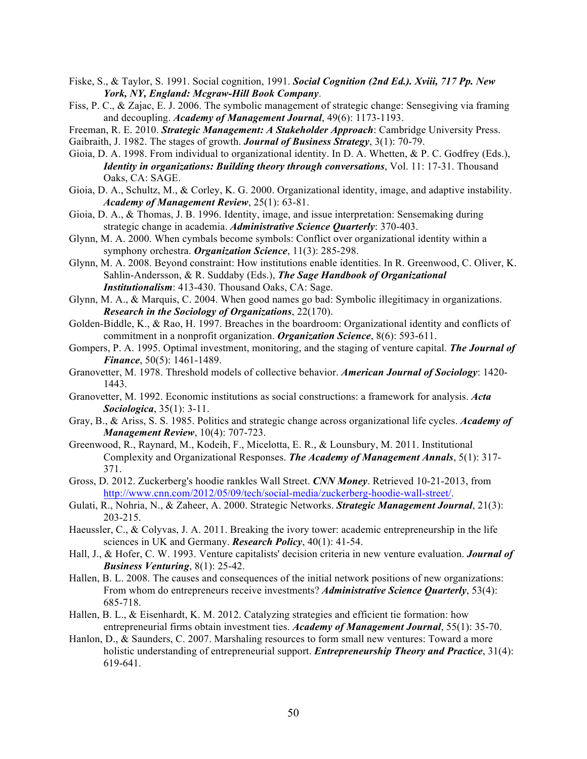- Fiske, S., & Taylor, S. 1991. Social cognition, 1991. *Social Cognition (2nd Ed.). Xviii, 717 Pp. New York, NY, England: Mcgraw-Hill Book Company*.
- Fiss, P. C., & Zajac, E. J. 2006. The symbolic management of strategic change: Sensegiving via framing and decoupling. *Academy of Management Journal*, 49(6): 1173-1193.
- Freeman, R. E. 2010. *Strategic Management: A Stakeholder Approach*: Cambridge University Press.
- Gaibraith, J. 1982. The stages of growth. *Journal of Business Strategy*, 3(1): 70-79.
- Gioia, D. A. 1998. From individual to organizational identity. In D. A. Whetten, & P. C. Godfrey (Eds.), *Identity in organizations: Building theory through conversations*, Vol. 11: 17-31. Thousand Oaks, CA: SAGE.
- Gioia, D. A., Schultz, M., & Corley, K. G. 2000. Organizational identity, image, and adaptive instability. *Academy of Management Review*, 25(1): 63-81.
- Gioia, D. A., & Thomas, J. B. 1996. Identity, image, and issue interpretation: Sensemaking during strategic change in academia. *Administrative Science Quarterly*: 370-403.
- Glynn, M. A. 2000. When cymbals become symbols: Conflict over organizational identity within a symphony orchestra. *Organization Science*, 11(3): 285-298.
- Glynn, M. A. 2008. Beyond constraint: How institutions enable identities. In R. Greenwood, C. Oliver, K. Sahlin-Andersson, & R. Suddaby (Eds.), *The Sage Handbook of Organizational Institutionalism*: 413-430. Thousand Oaks, CA: Sage.
- Glynn, M. A., & Marquis, C. 2004. When good names go bad: Symbolic illegitimacy in organizations. *Research in the Sociology of Organizations*, 22(170).
- Golden-Biddle, K., & Rao, H. 1997. Breaches in the boardroom: Organizational identity and conflicts of commitment in a nonprofit organization. *Organization Science*, 8(6): 593-611.
- Gompers, P. A. 1995. Optimal investment, monitoring, and the staging of venture capital. *The Journal of Finance*, 50(5): 1461-1489.
- Granovetter, M. 1978. Threshold models of collective behavior. *American Journal of Sociology*: 1420- 1443.
- Granovetter, M. 1992. Economic institutions as social constructions: a framework for analysis. *Acta Sociologica*, 35(1): 3-11.
- Gray, B., & Ariss, S. S. 1985. Politics and strategic change across organizational life cycles. *Academy of Management Review*, 10(4): 707-723.
- Greenwood, R., Raynard, M., Kodeih, F., Micelotta, E. R., & Lounsbury, M. 2011. Institutional Complexity and Organizational Responses. *The Academy of Management Annals*, 5(1): 317- 371.
- Gross, D. 2012. Zuckerberg's hoodie rankles Wall Street. *CNN Money*. Retrieved 10-21-2013, from http://www.cnn.com/2012/05/09/tech/social-media/zuckerberg-hoodie-wall-street/.
- Gulati, R., Nohria, N., & Zaheer, A. 2000. Strategic Networks. *Strategic Management Journal*, 21(3): 203-215.
- Haeussler, C., & Colyvas, J. A. 2011. Breaking the ivory tower: academic entrepreneurship in the life sciences in UK and Germany. *Research Policy*, 40(1): 41-54.
- Hall, J., & Hofer, C. W. 1993. Venture capitalists' decision criteria in new venture evaluation. *Journal of Business Venturing*, 8(1): 25-42.
- Hallen, B. L. 2008. The causes and consequences of the initial network positions of new organizations: From whom do entrepreneurs receive investments? *Administrative Science Quarterly*, 53(4): 685-718.
- Hallen, B. L., & Eisenhardt, K. M. 2012. Catalyzing strategies and efficient tie formation: how entrepreneurial firms obtain investment ties. *Academy of Management Journal*, 55(1): 35-70.
- Hanlon, D., & Saunders, C. 2007. Marshaling resources to form small new ventures: Toward a more holistic understanding of entrepreneurial support. *Entrepreneurship Theory and Practice*, 31(4): 619-641.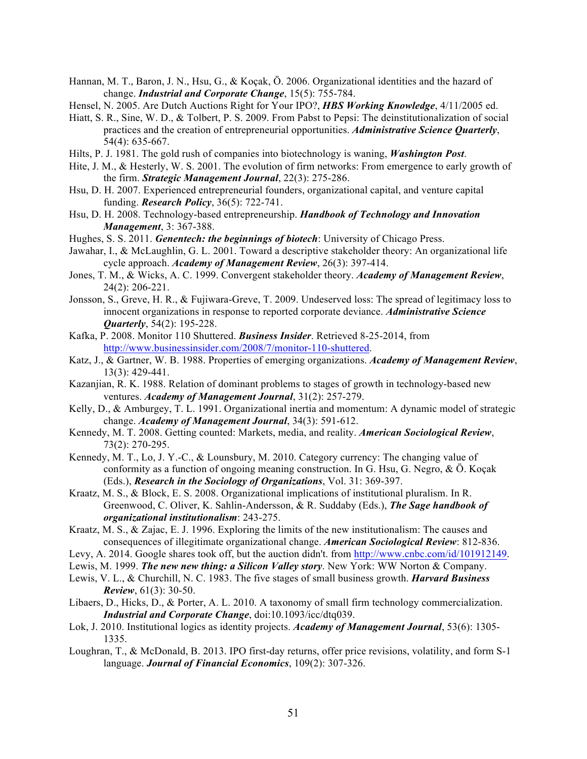- Hannan, M. T., Baron, J. N., Hsu, G., & Koçak, Ö. 2006. Organizational identities and the hazard of change. *Industrial and Corporate Change*, 15(5): 755-784.
- Hensel, N. 2005. Are Dutch Auctions Right for Your IPO?, *HBS Working Knowledge*, 4/11/2005 ed.
- Hiatt, S. R., Sine, W. D., & Tolbert, P. S. 2009. From Pabst to Pepsi: The deinstitutionalization of social practices and the creation of entrepreneurial opportunities. *Administrative Science Quarterly*, 54(4): 635-667.
- Hilts, P. J. 1981. The gold rush of companies into biotechnology is waning, *Washington Post*.
- Hite, J. M., & Hesterly, W. S. 2001. The evolution of firm networks: From emergence to early growth of the firm. *Strategic Management Journal*, 22(3): 275-286.
- Hsu, D. H. 2007. Experienced entrepreneurial founders, organizational capital, and venture capital funding. *Research Policy*, 36(5): 722-741.
- Hsu, D. H. 2008. Technology-based entrepreneurship. *Handbook of Technology and Innovation Management*, 3: 367-388.
- Hughes, S. S. 2011. *Genentech: the beginnings of biotech*: University of Chicago Press.
- Jawahar, I., & McLaughlin, G. L. 2001. Toward a descriptive stakeholder theory: An organizational life cycle approach. *Academy of Management Review*, 26(3): 397-414.
- Jones, T. M., & Wicks, A. C. 1999. Convergent stakeholder theory. *Academy of Management Review*, 24(2): 206-221.
- Jonsson, S., Greve, H. R., & Fujiwara-Greve, T. 2009. Undeserved loss: The spread of legitimacy loss to innocent organizations in response to reported corporate deviance. *Administrative Science Quarterly*, 54(2): 195-228.
- Kafka, P. 2008. Monitor 110 Shuttered. *Business Insider*. Retrieved 8-25-2014, from http://www.businessinsider.com/2008/7/monitor-110-shuttered.
- Katz, J., & Gartner, W. B. 1988. Properties of emerging organizations. *Academy of Management Review*, 13(3): 429-441.
- Kazanjian, R. K. 1988. Relation of dominant problems to stages of growth in technology-based new ventures. *Academy of Management Journal*, 31(2): 257-279.
- Kelly, D., & Amburgey, T. L. 1991. Organizational inertia and momentum: A dynamic model of strategic change. *Academy of Management Journal*, 34(3): 591-612.
- Kennedy, M. T. 2008. Getting counted: Markets, media, and reality. *American Sociological Review*, 73(2): 270-295.
- Kennedy, M. T., Lo, J. Y.-C., & Lounsbury, M. 2010. Category currency: The changing value of conformity as a function of ongoing meaning construction. In G. Hsu, G. Negro, & Ö. Koçak (Eds.), *Research in the Sociology of Organizations*, Vol. 31: 369-397.
- Kraatz, M. S., & Block, E. S. 2008. Organizational implications of institutional pluralism. In R. Greenwood, C. Oliver, K. Sahlin-Andersson, & R. Suddaby (Eds.), *The Sage handbook of organizational institutionalism*: 243-275.
- Kraatz, M. S., & Zajac, E. J. 1996. Exploring the limits of the new institutionalism: The causes and consequences of illegitimate organizational change. *American Sociological Review*: 812-836.
- Levy, A. 2014. Google shares took off, but the auction didn't. from http://www.cnbc.com/id/101912149.
- Lewis, M. 1999. *The new new thing: a Silicon Valley story*. New York: WW Norton & Company.
- Lewis, V. L., & Churchill, N. C. 1983. The five stages of small business growth. *Harvard Business Review*, 61(3): 30-50.
- Libaers, D., Hicks, D., & Porter, A. L. 2010. A taxonomy of small firm technology commercialization. *Industrial and Corporate Change*, doi:10.1093/icc/dtq039.
- Lok, J. 2010. Institutional logics as identity projects. *Academy of Management Journal*, 53(6): 1305- 1335.
- Loughran, T., & McDonald, B. 2013. IPO first-day returns, offer price revisions, volatility, and form S-1 language. *Journal of Financial Economics*, 109(2): 307-326.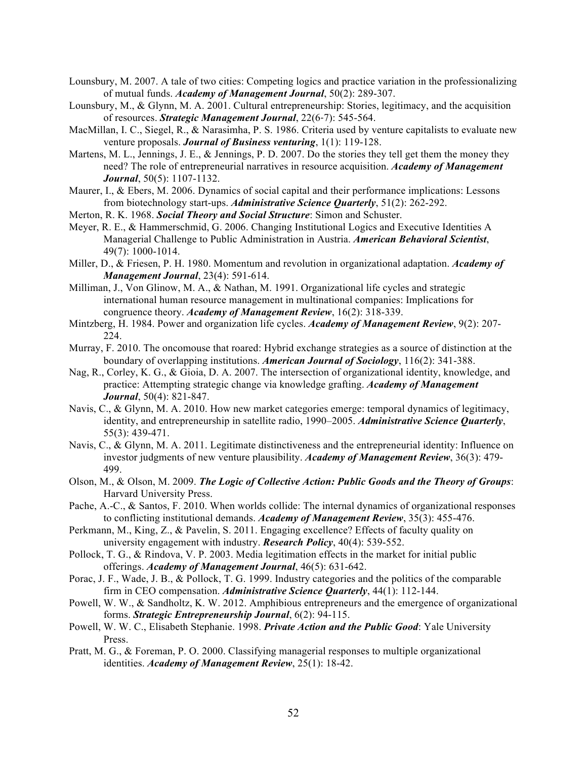- Lounsbury, M. 2007. A tale of two cities: Competing logics and practice variation in the professionalizing of mutual funds. *Academy of Management Journal*, 50(2): 289-307.
- Lounsbury, M., & Glynn, M. A. 2001. Cultural entrepreneurship: Stories, legitimacy, and the acquisition of resources. *Strategic Management Journal*, 22(6‐7): 545-564.
- MacMillan, I. C., Siegel, R., & Narasimha, P. S. 1986. Criteria used by venture capitalists to evaluate new venture proposals. *Journal of Business venturing*, 1(1): 119-128.
- Martens, M. L., Jennings, J. E., & Jennings, P. D. 2007. Do the stories they tell get them the money they need? The role of entrepreneurial narratives in resource acquisition. *Academy of Management Journal*, 50(5): 1107-1132.
- Maurer, I., & Ebers, M. 2006. Dynamics of social capital and their performance implications: Lessons from biotechnology start-ups. *Administrative Science Quarterly*, 51(2): 262-292.
- Merton, R. K. 1968. *Social Theory and Social Structure*: Simon and Schuster.
- Meyer, R. E., & Hammerschmid, G. 2006. Changing Institutional Logics and Executive Identities A Managerial Challenge to Public Administration in Austria. *American Behavioral Scientist*, 49(7): 1000-1014.
- Miller, D., & Friesen, P. H. 1980. Momentum and revolution in organizational adaptation. *Academy of Management Journal*, 23(4): 591-614.
- Milliman, J., Von Glinow, M. A., & Nathan, M. 1991. Organizational life cycles and strategic international human resource management in multinational companies: Implications for congruence theory. *Academy of Management Review*, 16(2): 318-339.
- Mintzberg, H. 1984. Power and organization life cycles. *Academy of Management Review*, 9(2): 207- 224.
- Murray, F. 2010. The oncomouse that roared: Hybrid exchange strategies as a source of distinction at the boundary of overlapping institutions. *American Journal of Sociology*, 116(2): 341-388.
- Nag, R., Corley, K. G., & Gioia, D. A. 2007. The intersection of organizational identity, knowledge, and practice: Attempting strategic change via knowledge grafting. *Academy of Management Journal*, 50(4): 821-847.
- Navis, C., & Glynn, M. A. 2010. How new market categories emerge: temporal dynamics of legitimacy, identity, and entrepreneurship in satellite radio, 1990–2005. *Administrative Science Quarterly*, 55(3): 439-471.
- Navis, C., & Glynn, M. A. 2011. Legitimate distinctiveness and the entrepreneurial identity: Influence on investor judgments of new venture plausibility. *Academy of Management Review*, 36(3): 479- 499.
- Olson, M., & Olson, M. 2009. *The Logic of Collective Action: Public Goods and the Theory of Groups*: Harvard University Press.
- Pache, A.-C., & Santos, F. 2010. When worlds collide: The internal dynamics of organizational responses to conflicting institutional demands. *Academy of Management Review*, 35(3): 455-476.
- Perkmann, M., King, Z., & Pavelin, S. 2011. Engaging excellence? Effects of faculty quality on university engagement with industry. *Research Policy*, 40(4): 539-552.
- Pollock, T. G., & Rindova, V. P. 2003. Media legitimation effects in the market for initial public offerings. *Academy of Management Journal*, 46(5): 631-642.
- Porac, J. F., Wade, J. B., & Pollock, T. G. 1999. Industry categories and the politics of the comparable firm in CEO compensation. *Administrative Science Quarterly*, 44(1): 112-144.
- Powell, W. W., & Sandholtz, K. W. 2012. Amphibious entrepreneurs and the emergence of organizational forms. *Strategic Entrepreneurship Journal*, 6(2): 94-115.
- Powell, W. W. C., Elisabeth Stephanie. 1998. *Private Action and the Public Good*: Yale University Press.
- Pratt, M. G., & Foreman, P. O. 2000. Classifying managerial responses to multiple organizational identities. *Academy of Management Review*, 25(1): 18-42.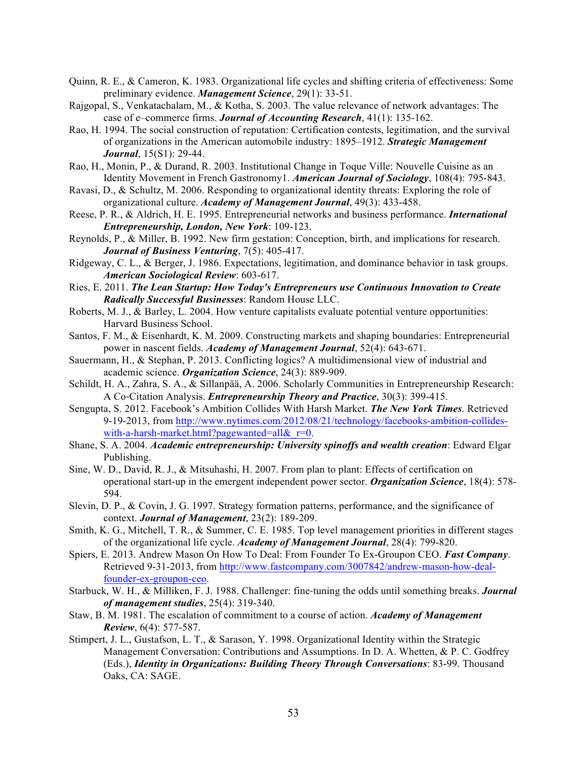- Quinn, R. E., & Cameron, K. 1983. Organizational life cycles and shifting criteria of effectiveness: Some preliminary evidence. *Management Science*, 29(1): 33-51.
- Rajgopal, S., Venkatachalam, M., & Kotha, S. 2003. The value relevance of network advantages: The case of e–commerce firms. *Journal of Accounting Research*, 41(1): 135-162.
- Rao, H. 1994. The social construction of reputation: Certification contests, legitimation, and the survival of organizations in the American automobile industry: 1895–1912. *Strategic Management Journal*, 15(S1): 29-44.
- Rao, H., Monin, P., & Durand, R. 2003. Institutional Change in Toque Ville: Nouvelle Cuisine as an Identity Movement in French Gastronomy1. *American Journal of Sociology*, 108(4): 795-843.
- Ravasi, D., & Schultz, M. 2006. Responding to organizational identity threats: Exploring the role of organizational culture. *Academy of Management Journal*, 49(3): 433-458.
- Reese, P. R., & Aldrich, H. E. 1995. Entrepreneurial networks and business performance. *International Entrepreneurship, London, New York*: 109-123.
- Reynolds, P., & Miller, B. 1992. New firm gestation: Conception, birth, and implications for research. *Journal of Business Venturing*, 7(5): 405-417.
- Ridgeway, C. L., & Berger, J. 1986. Expectations, legitimation, and dominance behavior in task groups. *American Sociological Review*: 603-617.
- Ries, E. 2011. *The Lean Startup: How Today's Entrepreneurs use Continuous Innovation to Create Radically Successful Businesses*: Random House LLC.
- Roberts, M. J., & Barley, L. 2004. How venture capitalists evaluate potential venture opportunities: Harvard Business School.
- Santos, F. M., & Eisenhardt, K. M. 2009. Constructing markets and shaping boundaries: Entrepreneurial power in nascent fields. *Academy of Management Journal*, 52(4): 643-671.
- Sauermann, H., & Stephan, P. 2013. Conflicting logics? A multidimensional view of industrial and academic science. *Organization Science*, 24(3): 889-909.
- Schildt, H. A., Zahra, S. A., & Sillanpää, A. 2006. Scholarly Communities in Entrepreneurship Research: A Co‐Citation Analysis. *Entrepreneurship Theory and Practice*, 30(3): 399-415.
- Sengupta, S. 2012. Facebook's Ambition Collides With Harsh Market. *The New York Times*. Retrieved 9-19-2013, from http://www.nytimes.com/2012/08/21/technology/facebooks-ambition-collideswith-a-harsh-market.html?pagewanted=all $&r=0$ .
- Shane, S. A. 2004. *Academic entrepreneurship: University spinoffs and wealth creation*: Edward Elgar Publishing.
- Sine, W. D., David, R. J., & Mitsuhashi, H. 2007. From plan to plant: Effects of certification on operational start-up in the emergent independent power sector. *Organization Science*, 18(4): 578- 594.
- Slevin, D. P., & Covin, J. G. 1997. Strategy formation patterns, performance, and the significance of context. *Journal of Management*, 23(2): 189-209.
- Smith, K. G., Mitchell, T. R., & Summer, C. E. 1985. Top level management priorities in different stages of the organizational life cycle. *Academy of Management Journal*, 28(4): 799-820.
- Spiers, E. 2013. Andrew Mason On How To Deal: From Founder To Ex-Groupon CEO. *Fast Company*. Retrieved 9-31-2013, from http://www.fastcompany.com/3007842/andrew-mason-how-dealfounder-ex-groupon-ceo.
- Starbuck, W. H., & Milliken, F. J. 1988. Challenger: fine‐tuning the odds until something breaks. *Journal of management studies*, 25(4): 319-340.
- Staw, B. M. 1981. The escalation of commitment to a course of action. *Academy of Management Review*, 6(4): 577-587.
- Stimpert, J. L., Gustafson, L. T., & Sarason, Y. 1998. Organizational Identity within the Strategic Management Conversation: Contributions and Assumptions. In D. A. Whetten, & P. C. Godfrey (Eds.), *Identity in Organizations: Building Theory Through Conversations*: 83-99. Thousand Oaks, CA: SAGE.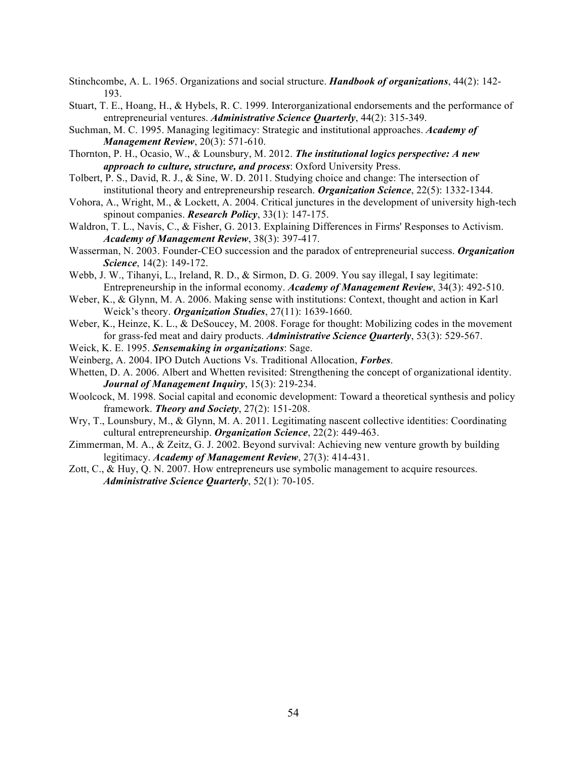Stinchcombe, A. L. 1965. Organizations and social structure. *Handbook of organizations*, 44(2): 142- 193.

- Stuart, T. E., Hoang, H., & Hybels, R. C. 1999. Interorganizational endorsements and the performance of entrepreneurial ventures. *Administrative Science Quarterly*, 44(2): 315-349.
- Suchman, M. C. 1995. Managing legitimacy: Strategic and institutional approaches. *Academy of Management Review*, 20(3): 571-610.
- Thornton, P. H., Ocasio, W., & Lounsbury, M. 2012. *The institutional logics perspective: A new approach to culture, structure, and process*: Oxford University Press.
- Tolbert, P. S., David, R. J., & Sine, W. D. 2011. Studying choice and change: The intersection of institutional theory and entrepreneurship research. *Organization Science*, 22(5): 1332-1344.
- Vohora, A., Wright, M., & Lockett, A. 2004. Critical junctures in the development of university high-tech spinout companies. *Research Policy*, 33(1): 147-175.
- Waldron, T. L., Navis, C., & Fisher, G. 2013. Explaining Differences in Firms' Responses to Activism. *Academy of Management Review*, 38(3): 397-417.
- Wasserman, N. 2003. Founder-CEO succession and the paradox of entrepreneurial success. *Organization Science*, 14(2): 149-172.
- Webb, J. W., Tihanyi, L., Ireland, R. D., & Sirmon, D. G. 2009. You say illegal, I say legitimate: Entrepreneurship in the informal economy. *Academy of Management Review*, 34(3): 492-510.
- Weber, K., & Glynn, M. A. 2006. Making sense with institutions: Context, thought and action in Karl Weick's theory. *Organization Studies*, 27(11): 1639-1660.
- Weber, K., Heinze, K. L., & DeSoucey, M. 2008. Forage for thought: Mobilizing codes in the movement for grass-fed meat and dairy products. *Administrative Science Quarterly*, 53(3): 529-567.
- Weick, K. E. 1995. *Sensemaking in organizations*: Sage.
- Weinberg, A. 2004. IPO Dutch Auctions Vs. Traditional Allocation, *Forbes*.
- Whetten, D. A. 2006. Albert and Whetten revisited: Strengthening the concept of organizational identity. *Journal of Management Inquiry*, 15(3): 219-234.
- Woolcock, M. 1998. Social capital and economic development: Toward a theoretical synthesis and policy framework. *Theory and Society*, 27(2): 151-208.
- Wry, T., Lounsbury, M., & Glynn, M. A. 2011. Legitimating nascent collective identities: Coordinating cultural entrepreneurship. *Organization Science*, 22(2): 449-463.
- Zimmerman, M. A., & Zeitz, G. J. 2002. Beyond survival: Achieving new venture growth by building legitimacy. *Academy of Management Review*, 27(3): 414-431.
- Zott, C., & Huy, Q. N. 2007. How entrepreneurs use symbolic management to acquire resources. *Administrative Science Quarterly*, 52(1): 70-105.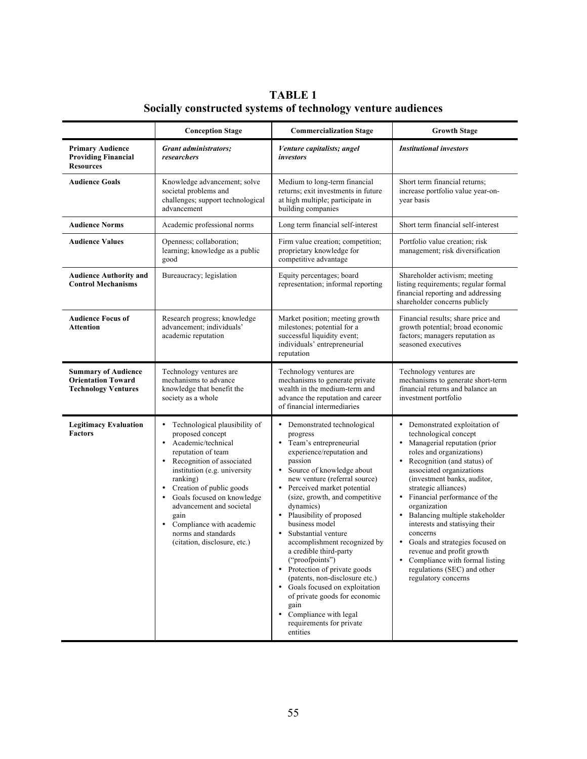|                                                                                       | <b>Conception Stage</b>                                                                                                                                                                                                                                                                                                                                                           | <b>Commercialization Stage</b>                                                                                                                                                                                                                                                                                                                                                                                                                                                                                                                                                                                                     | <b>Growth Stage</b>                                                                                                                                                                                                                                                                                                                                                                                                                                                                                                                      |
|---------------------------------------------------------------------------------------|-----------------------------------------------------------------------------------------------------------------------------------------------------------------------------------------------------------------------------------------------------------------------------------------------------------------------------------------------------------------------------------|------------------------------------------------------------------------------------------------------------------------------------------------------------------------------------------------------------------------------------------------------------------------------------------------------------------------------------------------------------------------------------------------------------------------------------------------------------------------------------------------------------------------------------------------------------------------------------------------------------------------------------|------------------------------------------------------------------------------------------------------------------------------------------------------------------------------------------------------------------------------------------------------------------------------------------------------------------------------------------------------------------------------------------------------------------------------------------------------------------------------------------------------------------------------------------|
| <b>Primary Audience</b><br><b>Providing Financial</b><br><b>Resources</b>             | <b>Grant administrators;</b><br>researchers                                                                                                                                                                                                                                                                                                                                       | Venture capitalists; angel<br>investors                                                                                                                                                                                                                                                                                                                                                                                                                                                                                                                                                                                            | <b>Institutional investors</b>                                                                                                                                                                                                                                                                                                                                                                                                                                                                                                           |
| <b>Audience Goals</b>                                                                 | Knowledge advancement; solve<br>societal problems and<br>challenges; support technological<br>advancement                                                                                                                                                                                                                                                                         | Medium to long-term financial<br>returns; exit investments in future<br>at high multiple; participate in<br>building companies                                                                                                                                                                                                                                                                                                                                                                                                                                                                                                     | Short term financial returns;<br>increase portfolio value year-on-<br>year basis                                                                                                                                                                                                                                                                                                                                                                                                                                                         |
| <b>Audience Norms</b>                                                                 | Academic professional norms                                                                                                                                                                                                                                                                                                                                                       | Long term financial self-interest                                                                                                                                                                                                                                                                                                                                                                                                                                                                                                                                                                                                  | Short term financial self-interest                                                                                                                                                                                                                                                                                                                                                                                                                                                                                                       |
| <b>Audience Values</b>                                                                | Openness; collaboration;<br>learning; knowledge as a public<br>good                                                                                                                                                                                                                                                                                                               | Firm value creation; competition;<br>proprietary knowledge for<br>competitive advantage                                                                                                                                                                                                                                                                                                                                                                                                                                                                                                                                            | Portfolio value creation; risk<br>management; risk diversification                                                                                                                                                                                                                                                                                                                                                                                                                                                                       |
| <b>Audience Authority and</b><br><b>Control Mechanisms</b>                            | Bureaucracy; legislation                                                                                                                                                                                                                                                                                                                                                          | Equity percentages; board<br>representation; informal reporting                                                                                                                                                                                                                                                                                                                                                                                                                                                                                                                                                                    | Shareholder activism; meeting<br>listing requirements; regular formal<br>financial reporting and addressing<br>shareholder concerns publicly                                                                                                                                                                                                                                                                                                                                                                                             |
| <b>Audience Focus of</b><br>Attention                                                 | Research progress; knowledge<br>advancement; individuals'<br>academic reputation                                                                                                                                                                                                                                                                                                  | Market position; meeting growth<br>milestones; potential for a<br>successful liquidity event;<br>individuals' entrepreneurial<br>reputation                                                                                                                                                                                                                                                                                                                                                                                                                                                                                        | Financial results; share price and<br>growth potential; broad economic<br>factors; managers reputation as<br>seasoned executives                                                                                                                                                                                                                                                                                                                                                                                                         |
| <b>Summary of Audience</b><br><b>Orientation Toward</b><br><b>Technology Ventures</b> | Technology ventures are<br>mechanisms to advance<br>knowledge that benefit the<br>society as a whole                                                                                                                                                                                                                                                                              | Technology ventures are<br>mechanisms to generate private<br>wealth in the medium-term and<br>advance the reputation and career<br>of financial intermediaries                                                                                                                                                                                                                                                                                                                                                                                                                                                                     | Technology ventures are<br>mechanisms to generate short-term<br>financial returns and balance an<br>investment portfolio                                                                                                                                                                                                                                                                                                                                                                                                                 |
| <b>Legitimacy Evaluation</b><br><b>Factors</b>                                        | Technological plausibility of<br>proposed concept<br>Academic/technical<br>$\bullet$<br>reputation of team<br>Recognition of associated<br>institution (e.g. university<br>ranking)<br>Creation of public goods<br>$\bullet$<br>Goals focused on knowledge<br>advancement and societal<br>gain<br>Compliance with academic<br>norms and standards<br>(citation, disclosure, etc.) | Demonstrated technological<br>progress<br>Team's entrepreneurial<br>experience/reputation and<br>passion<br>Source of knowledge about<br>new venture (referral source)<br>Perceived market potential<br>$\bullet$<br>(size, growth, and competitive<br>dynamics)<br>Plausibility of proposed<br>business model<br>Substantial venture<br>accomplishment recognized by<br>a credible third-party<br>("proofpoints")<br>• Protection of private goods<br>(patents, non-disclosure etc.)<br>• Goals focused on exploitation<br>of private goods for economic<br>gain<br>Compliance with legal<br>requirements for private<br>entities | Demonstrated exploitation of<br>technological concept<br>Managerial reputation (prior<br>$\bullet$<br>roles and organizations)<br>Recognition (and status) of<br>associated organizations<br>(investment banks, auditor,<br>strategic alliances)<br>Financial performance of the<br>organization<br>Balancing multiple stakeholder<br>interests and statisying their<br>concerns<br>Goals and strategies focused on<br>revenue and profit growth<br>Compliance with formal listing<br>regulations (SEC) and other<br>regulatory concerns |

# **TABLE 1 Socially constructed systems of technology venture audiences**